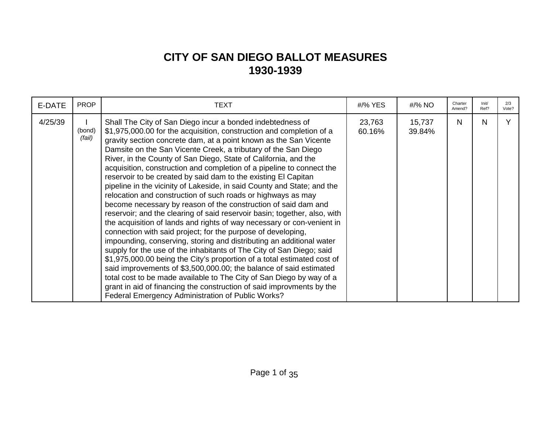## **CITY OF SAN DIEGO BALLOT MEASURES 1930-1939**

| E-DATE  | <b>PROP</b>      | TEXT                                                                                                                                                                                                                                                                                                                                                                                                                                                                                                                                                                                                                                                                                                                                                                                                                                                                                                                                                                                                                                                                                                                                                                                                                                                                                                                                                                                                                               | #/% YES          | #/% NO           | Charter<br>Amend? | Init/<br>Ref? | 2/3<br>Vote? |
|---------|------------------|------------------------------------------------------------------------------------------------------------------------------------------------------------------------------------------------------------------------------------------------------------------------------------------------------------------------------------------------------------------------------------------------------------------------------------------------------------------------------------------------------------------------------------------------------------------------------------------------------------------------------------------------------------------------------------------------------------------------------------------------------------------------------------------------------------------------------------------------------------------------------------------------------------------------------------------------------------------------------------------------------------------------------------------------------------------------------------------------------------------------------------------------------------------------------------------------------------------------------------------------------------------------------------------------------------------------------------------------------------------------------------------------------------------------------------|------------------|------------------|-------------------|---------------|--------------|
| 4/25/39 | (bond)<br>(fail) | Shall The City of San Diego incur a bonded indebtedness of<br>\$1,975,000.00 for the acquisition, construction and completion of a<br>gravity section concrete dam, at a point known as the San Vicente<br>Damsite on the San Vicente Creek, a tributary of the San Diego<br>River, in the County of San Diego, State of California, and the<br>acquisition, construction and completion of a pipeline to connect the<br>reservoir to be created by said dam to the existing El Capitan<br>pipeline in the vicinity of Lakeside, in said County and State; and the<br>relocation and construction of such roads or highways as may<br>become necessary by reason of the construction of said dam and<br>reservoir; and the clearing of said reservoir basin; together, also, with<br>the acquisition of lands and rights of way necessary or con-venient in<br>connection with said project; for the purpose of developing,<br>impounding, conserving, storing and distributing an additional water<br>supply for the use of the inhabitants of The City of San Diego; said<br>\$1,975,000.00 being the City's proportion of a total estimated cost of<br>said improvements of \$3,500,000.00; the balance of said estimated<br>total cost to be made available to The City of San Diego by way of a<br>grant in aid of financing the construction of said improvments by the<br>Federal Emergency Administration of Public Works? | 23,763<br>60.16% | 15,737<br>39.84% | N.                | N             | Y            |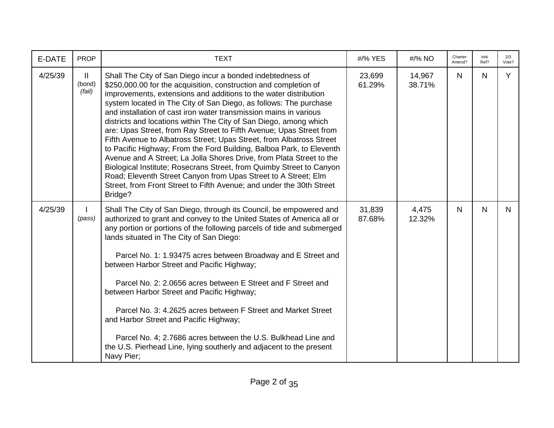| E-DATE  | <b>PROP</b>                      | <b>TEXT</b>                                                                                                                                                                                                                                                                                                                                                                                                                                                                                                                                                                                                                                                                                                                                                                                                                                                                                                                                   | #/% YES          | #/% NO           | Charter<br>Amend? | Init/<br>Ref? | 2/3<br>Vote? |
|---------|----------------------------------|-----------------------------------------------------------------------------------------------------------------------------------------------------------------------------------------------------------------------------------------------------------------------------------------------------------------------------------------------------------------------------------------------------------------------------------------------------------------------------------------------------------------------------------------------------------------------------------------------------------------------------------------------------------------------------------------------------------------------------------------------------------------------------------------------------------------------------------------------------------------------------------------------------------------------------------------------|------------------|------------------|-------------------|---------------|--------------|
| 4/25/39 | $\mathbf{H}$<br>(bond)<br>(fail) | Shall The City of San Diego incur a bonded indebtedness of<br>\$250,000.00 for the acquisition, construction and completion of<br>improvements, extensions and additions to the water distribution<br>system located in The City of San Diego, as follows: The purchase<br>and installation of cast iron water transmission mains in various<br>districts and locations within The City of San Diego, among which<br>are: Upas Street, from Ray Street to Fifth Avenue; Upas Street from<br>Fifth Avenue to Albatross Street; Upas Street, from Albatross Street<br>to Pacific Highway; From the Ford Building, Balboa Park, to Eleventh<br>Avenue and A Street; La Jolla Shores Drive, from Plata Street to the<br>Biological Institute; Rosecrans Street, from Quimby Street to Canyon<br>Road; Eleventh Street Canyon from Upas Street to A Street; Elm<br>Street, from Front Street to Fifth Avenue; and under the 30th Street<br>Bridge? | 23,699<br>61.29% | 14,967<br>38.71% | N                 | N             | Y            |
| 4/25/39 | (pass)                           | Shall The City of San Diego, through its Council, be empowered and<br>authorized to grant and convey to the United States of America all or<br>any portion or portions of the following parcels of tide and submerged<br>lands situated in The City of San Diego:<br>Parcel No. 1: 1.93475 acres between Broadway and E Street and<br>between Harbor Street and Pacific Highway;<br>Parcel No. 2: 2.0656 acres between E Street and F Street and<br>between Harbor Street and Pacific Highway;<br>Parcel No. 3: 4.2625 acres between F Street and Market Street<br>and Harbor Street and Pacific Highway;<br>Parcel No. 4; 2.7686 acres between the U.S. Bulkhead Line and<br>the U.S. Pierhead Line, lying southerly and adjacent to the present<br>Navy Pier;                                                                                                                                                                               | 31,839<br>87.68% | 4,475<br>12.32%  | N                 | N             | N.           |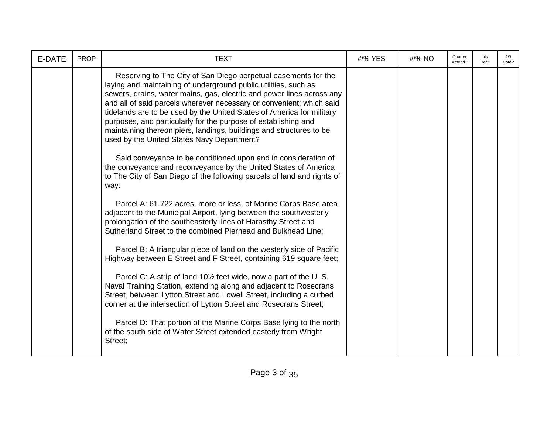| E-DATE | <b>PROP</b> | <b>TEXT</b>                                                                                                                                                                                                                                                                                                                                                                                                                                                                                                                                        | #/% YES | #/% NO | Charter<br>Amend? | Init/<br>Ref? | 2/3<br>Vote? |
|--------|-------------|----------------------------------------------------------------------------------------------------------------------------------------------------------------------------------------------------------------------------------------------------------------------------------------------------------------------------------------------------------------------------------------------------------------------------------------------------------------------------------------------------------------------------------------------------|---------|--------|-------------------|---------------|--------------|
|        |             | Reserving to The City of San Diego perpetual easements for the<br>laying and maintaining of underground public utilities, such as<br>sewers, drains, water mains, gas, electric and power lines across any<br>and all of said parcels wherever necessary or convenient; which said<br>tidelands are to be used by the United States of America for military<br>purposes, and particularly for the purpose of establishing and<br>maintaining thereon piers, landings, buildings and structures to be<br>used by the United States Navy Department? |         |        |                   |               |              |
|        |             | Said conveyance to be conditioned upon and in consideration of<br>the conveyance and reconveyance by the United States of America<br>to The City of San Diego of the following parcels of land and rights of<br>way:                                                                                                                                                                                                                                                                                                                               |         |        |                   |               |              |
|        |             | Parcel A: 61.722 acres, more or less, of Marine Corps Base area<br>adjacent to the Municipal Airport, lying between the southwesterly<br>prolongation of the southeasterly lines of Harasthy Street and<br>Sutherland Street to the combined Pierhead and Bulkhead Line;                                                                                                                                                                                                                                                                           |         |        |                   |               |              |
|        |             | Parcel B: A triangular piece of land on the westerly side of Pacific<br>Highway between E Street and F Street, containing 619 square feet;                                                                                                                                                                                                                                                                                                                                                                                                         |         |        |                   |               |              |
|        |             | Parcel C: A strip of land 10 <sup>1</sup> / <sub>2</sub> feet wide, now a part of the U. S.<br>Naval Training Station, extending along and adjacent to Rosecrans<br>Street, between Lytton Street and Lowell Street, including a curbed<br>corner at the intersection of Lytton Street and Rosecrans Street;                                                                                                                                                                                                                                       |         |        |                   |               |              |
|        |             | Parcel D: That portion of the Marine Corps Base lying to the north<br>of the south side of Water Street extended easterly from Wright<br>Street;                                                                                                                                                                                                                                                                                                                                                                                                   |         |        |                   |               |              |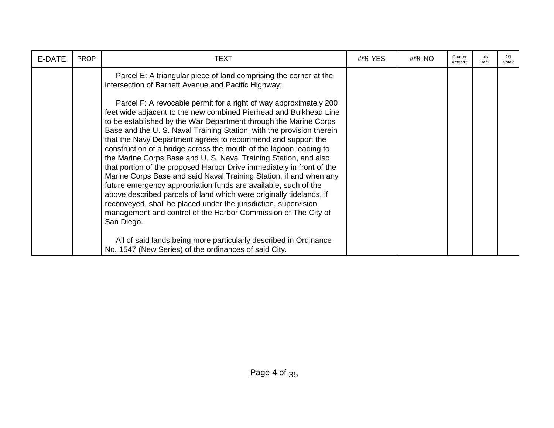| E-DATE | <b>PROP</b> | TEXT                                                                                                                                                                                                                                                                                                                                                                                                                                                                                                                                                                                                                                                                                                                                                                     | #/% YES | #/% NO | Charter<br>Amend? | Init/<br>Ref? | 2/3<br>Vote? |
|--------|-------------|--------------------------------------------------------------------------------------------------------------------------------------------------------------------------------------------------------------------------------------------------------------------------------------------------------------------------------------------------------------------------------------------------------------------------------------------------------------------------------------------------------------------------------------------------------------------------------------------------------------------------------------------------------------------------------------------------------------------------------------------------------------------------|---------|--------|-------------------|---------------|--------------|
|        |             | Parcel E: A triangular piece of land comprising the corner at the<br>intersection of Barnett Avenue and Pacific Highway;<br>Parcel F: A revocable permit for a right of way approximately 200<br>feet wide adjacent to the new combined Pierhead and Bulkhead Line<br>to be established by the War Department through the Marine Corps<br>Base and the U. S. Naval Training Station, with the provision therein<br>that the Navy Department agrees to recommend and support the<br>construction of a bridge across the mouth of the lagoon leading to<br>the Marine Corps Base and U. S. Naval Training Station, and also<br>that portion of the proposed Harbor Drive immediately in front of the<br>Marine Corps Base and said Naval Training Station, if and when any |         |        |                   |               |              |
|        |             | future emergency appropriation funds are available; such of the<br>above described parcels of land which were originally tidelands, if<br>reconveyed, shall be placed under the jurisdiction, supervision,<br>management and control of the Harbor Commission of The City of<br>San Diego.<br>All of said lands being more particularly described in Ordinance<br>No. 1547 (New Series) of the ordinances of said City.                                                                                                                                                                                                                                                                                                                                                  |         |        |                   |               |              |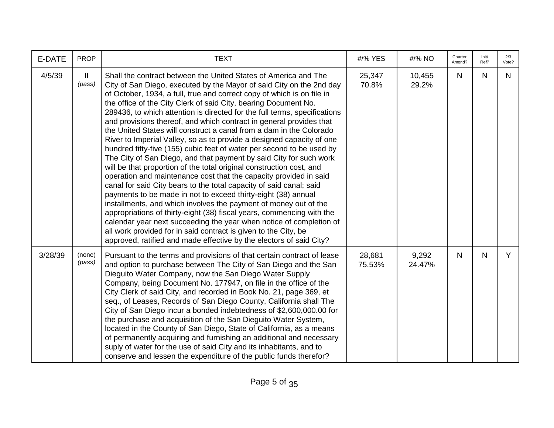| E-DATE  | <b>PROP</b>            | <b>TEXT</b>                                                                                                                                                                                                                                                                                                                                                                                                                                                                                                                                                                                                                                                                                                                                                                                                                                                                                                                                                                                                                                                                                                                                                                                                                                                                                                                                                                                | #/% YES          | #/% NO          | Charter<br>Amend? | Init/<br>Ref? | 2/3<br>Vote? |
|---------|------------------------|--------------------------------------------------------------------------------------------------------------------------------------------------------------------------------------------------------------------------------------------------------------------------------------------------------------------------------------------------------------------------------------------------------------------------------------------------------------------------------------------------------------------------------------------------------------------------------------------------------------------------------------------------------------------------------------------------------------------------------------------------------------------------------------------------------------------------------------------------------------------------------------------------------------------------------------------------------------------------------------------------------------------------------------------------------------------------------------------------------------------------------------------------------------------------------------------------------------------------------------------------------------------------------------------------------------------------------------------------------------------------------------------|------------------|-----------------|-------------------|---------------|--------------|
| 4/5/39  | $\mathbf{I}$<br>(pass) | Shall the contract between the United States of America and The<br>City of San Diego, executed by the Mayor of said City on the 2nd day<br>of October, 1934, a full, true and correct copy of which is on file in<br>the office of the City Clerk of said City, bearing Document No.<br>289436, to which attention is directed for the full terms, specifications<br>and provisions thereof, and which contract in general provides that<br>the United States will construct a canal from a dam in the Colorado<br>River to Imperial Valley, so as to provide a designed capacity of one<br>hundred fifty-five (155) cubic feet of water per second to be used by<br>The City of San Diego, and that payment by said City for such work<br>will be that proportion of the total original construction cost, and<br>operation and maintenance cost that the capacity provided in said<br>canal for said City bears to the total capacity of said canal; said<br>payments to be made in not to exceed thirty-eight (38) annual<br>installments, and which involves the payment of money out of the<br>appropriations of thirty-eight (38) fiscal years, commencing with the<br>calendar year next succeeding the year when notice of completion of<br>all work provided for in said contract is given to the City, be<br>approved, ratified and made effective by the electors of said City? | 25,347<br>70.8%  | 10,455<br>29.2% | N.                | N             | N.           |
| 3/28/39 | (none)<br>(pass)       | Pursuant to the terms and provisions of that certain contract of lease<br>and option to purchase between The City of San Diego and the San<br>Dieguito Water Company, now the San Diego Water Supply<br>Company, being Document No. 177947, on file in the office of the<br>City Clerk of said City, and recorded in Book No. 21, page 369, et<br>seq., of Leases, Records of San Diego County, California shall The<br>City of San Diego incur a bonded indebtedness of \$2,600,000.00 for<br>the purchase and acquisition of the San Dieguito Water System,<br>located in the County of San Diego, State of California, as a means<br>of permanently acquiring and furnishing an additional and necessary<br>suply of water for the use of said City and its inhabitants, and to<br>conserve and lessen the expenditure of the public funds therefor?                                                                                                                                                                                                                                                                                                                                                                                                                                                                                                                                    | 28,681<br>75.53% | 9,292<br>24.47% | N.                | N             | Y            |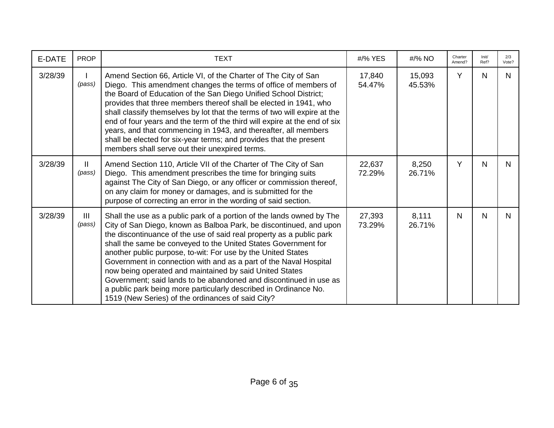| E-DATE  | <b>PROP</b>   | <b>TEXT</b>                                                                                                                                                                                                                                                                                                                                                                                                                                                                                                                                                                                                                                                                         | #/% YES          | #/% NO           | Charter<br>Amend? | Init/<br>Ref? | 2/3<br>Vote? |
|---------|---------------|-------------------------------------------------------------------------------------------------------------------------------------------------------------------------------------------------------------------------------------------------------------------------------------------------------------------------------------------------------------------------------------------------------------------------------------------------------------------------------------------------------------------------------------------------------------------------------------------------------------------------------------------------------------------------------------|------------------|------------------|-------------------|---------------|--------------|
| 3/28/39 | (pass)        | Amend Section 66, Article VI, of the Charter of The City of San<br>Diego. This amendment changes the terms of office of members of<br>the Board of Education of the San Diego Unified School District;<br>provides that three members thereof shall be elected in 1941, who<br>shall classify themselves by lot that the terms of two will expire at the<br>end of four years and the term of the third will expire at the end of six<br>years, and that commencing in 1943, and thereafter, all members<br>shall be elected for six-year terms; and provides that the present<br>members shall serve out their unexpired terms.                                                    | 17,840<br>54.47% | 15,093<br>45.53% | Y                 | N             | N.           |
| 3/28/39 | Ш.<br>(pass)  | Amend Section 110, Article VII of the Charter of The City of San<br>Diego. This amendment prescribes the time for bringing suits<br>against The City of San Diego, or any officer or commission thereof,<br>on any claim for money or damages, and is submitted for the<br>purpose of correcting an error in the wording of said section.                                                                                                                                                                                                                                                                                                                                           | 22,637<br>72.29% | 8,250<br>26.71%  | Y                 | N             | N.           |
| 3/28/39 | III<br>(pass) | Shall the use as a public park of a portion of the lands owned by The<br>City of San Diego, known as Balboa Park, be discontinued, and upon<br>the discontinuance of the use of said real property as a public park<br>shall the same be conveyed to the United States Government for<br>another public purpose, to-wit: For use by the United States<br>Government in connection with and as a part of the Naval Hospital<br>now being operated and maintained by said United States<br>Government; said lands to be abandoned and discontinued in use as<br>a public park being more particularly described in Ordinance No.<br>1519 (New Series) of the ordinances of said City? | 27,393<br>73.29% | 8,111<br>26.71%  | N                 | N             | N.           |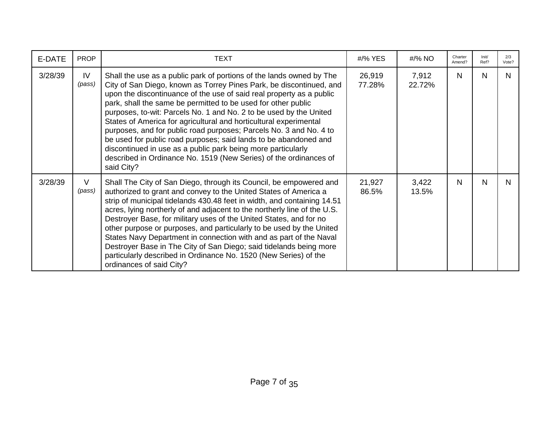| E-DATE  | <b>PROP</b>  | TEXT                                                                                                                                                                                                                                                                                                                                                                                                                                                                                                                                                                                                                                                                                                                         | #/% YES          | #/% NO          | Charter<br>Amend? | Init/<br>Ref? | 2/3<br>Vote? |
|---------|--------------|------------------------------------------------------------------------------------------------------------------------------------------------------------------------------------------------------------------------------------------------------------------------------------------------------------------------------------------------------------------------------------------------------------------------------------------------------------------------------------------------------------------------------------------------------------------------------------------------------------------------------------------------------------------------------------------------------------------------------|------------------|-----------------|-------------------|---------------|--------------|
| 3/28/39 | IV<br>(pass) | Shall the use as a public park of portions of the lands owned by The<br>City of San Diego, known as Torrey Pines Park, be discontinued, and<br>upon the discontinuance of the use of said real property as a public<br>park, shall the same be permitted to be used for other public<br>purposes, to-wit: Parcels No. 1 and No. 2 to be used by the United<br>States of America for agricultural and horticultural experimental<br>purposes, and for public road purposes; Parcels No. 3 and No. 4 to<br>be used for public road purposes; said lands to be abandoned and<br>discontinued in use as a public park being more particularly<br>described in Ordinance No. 1519 (New Series) of the ordinances of<br>said City? | 26,919<br>77.28% | 7,912<br>22.72% | N                 | N             | N            |
| 3/28/39 | V<br>(pass)  | Shall The City of San Diego, through its Council, be empowered and<br>authorized to grant and convey to the United States of America a<br>strip of municipal tidelands 430.48 feet in width, and containing 14.51<br>acres, lying northerly of and adjacent to the northerly line of the U.S.<br>Destroyer Base, for military uses of the United States, and for no<br>other purpose or purposes, and particularly to be used by the United<br>States Navy Department in connection with and as part of the Naval<br>Destroyer Base in The City of San Diego; said tidelands being more<br>particularly described in Ordinance No. 1520 (New Series) of the<br>ordinances of said City?                                      | 21,927<br>86.5%  | 3,422<br>13.5%  | N.                | N             | N.           |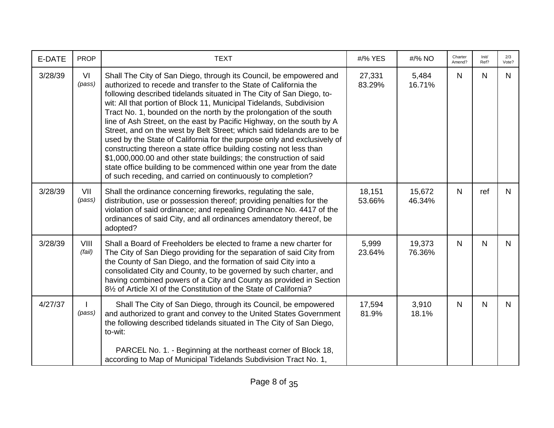| <b>PROP</b>    | <b>TEXT</b>                                                                                                                                                                                                                                                                                                                                                                                                                                                                                                                                                                                                                                                                                                                                                                                                                                                                  | #/% YES                                                                                                                            | #/% NO           | Charter<br>Amend? | Init/<br>Ref? | 2/3<br>Vote? |
|----------------|------------------------------------------------------------------------------------------------------------------------------------------------------------------------------------------------------------------------------------------------------------------------------------------------------------------------------------------------------------------------------------------------------------------------------------------------------------------------------------------------------------------------------------------------------------------------------------------------------------------------------------------------------------------------------------------------------------------------------------------------------------------------------------------------------------------------------------------------------------------------------|------------------------------------------------------------------------------------------------------------------------------------|------------------|-------------------|---------------|--------------|
| VI<br>(pass)   | Shall The City of San Diego, through its Council, be empowered and<br>authorized to recede and transfer to the State of California the<br>following described tidelands situated in The City of San Diego, to-<br>wit: All that portion of Block 11, Municipal Tidelands, Subdivision<br>Tract No. 1, bounded on the north by the prolongation of the south<br>line of Ash Street, on the east by Pacific Highway, on the south by A<br>Street, and on the west by Belt Street; which said tidelands are to be<br>used by the State of California for the purpose only and exclusively of<br>constructing thereon a state office building costing not less than<br>\$1,000,000.00 and other state buildings; the construction of said<br>state office building to be commenced within one year from the date<br>of such receding, and carried on continuously to completion? | 27,331<br>83.29%                                                                                                                   | 5,484<br>16.71%  | N                 | N             | N            |
| VII<br>(pass)  | Shall the ordinance concerning fireworks, regulating the sale,<br>distribution, use or possession thereof; providing penalties for the<br>violation of said ordinance; and repealing Ordinance No. 4417 of the<br>ordinances of said City, and all ordinances amendatory thereof, be<br>adopted?                                                                                                                                                                                                                                                                                                                                                                                                                                                                                                                                                                             | 18,151<br>53.66%                                                                                                                   | 15,672<br>46.34% | N                 | ref           | <sub>N</sub> |
| VIII<br>(fail) | Shall a Board of Freeholders be elected to frame a new charter for<br>The City of San Diego providing for the separation of said City from<br>the County of San Diego, and the formation of said City into a<br>consolidated City and County, to be governed by such charter, and<br>having combined powers of a City and County as provided in Section<br>81/2 of Article XI of the Constitution of the State of California?                                                                                                                                                                                                                                                                                                                                                                                                                                                | 5,999<br>23.64%                                                                                                                    | 19,373<br>76.36% | N                 | $\mathsf{N}$  | N            |
| (pass)         | Shall The City of San Diego, through its Council, be empowered<br>and authorized to grant and convey to the United States Government<br>the following described tidelands situated in The City of San Diego,<br>to-wit:                                                                                                                                                                                                                                                                                                                                                                                                                                                                                                                                                                                                                                                      | 17,594<br>81.9%                                                                                                                    | 3,910<br>18.1%   | N                 | $\mathsf{N}$  | N            |
|                |                                                                                                                                                                                                                                                                                                                                                                                                                                                                                                                                                                                                                                                                                                                                                                                                                                                                              | PARCEL No. 1. - Beginning at the northeast corner of Block 18,<br>according to Map of Municipal Tidelands Subdivision Tract No. 1, |                  |                   |               |              |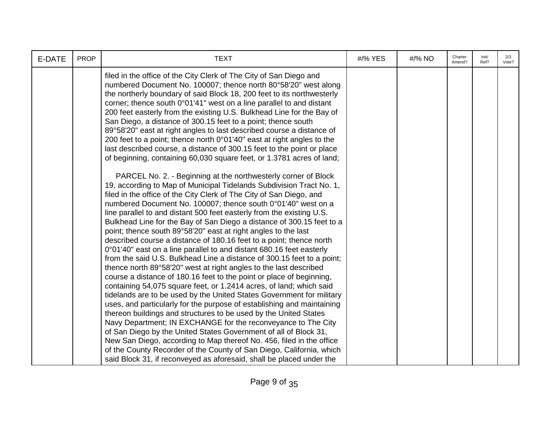| E-DATE | <b>PROP</b> | <b>TEXT</b>                                                                                                                                                                                                                                                                                                                                                                                                                                                                                                                                                                                                                                                                                                                                                                                                                                                                                                                                                                                                                                                                                                                                                            | #/% YES | #/% NO | Charter<br>Amend? | Init/<br>Ref? | 2/3<br>Vote? |
|--------|-------------|------------------------------------------------------------------------------------------------------------------------------------------------------------------------------------------------------------------------------------------------------------------------------------------------------------------------------------------------------------------------------------------------------------------------------------------------------------------------------------------------------------------------------------------------------------------------------------------------------------------------------------------------------------------------------------------------------------------------------------------------------------------------------------------------------------------------------------------------------------------------------------------------------------------------------------------------------------------------------------------------------------------------------------------------------------------------------------------------------------------------------------------------------------------------|---------|--------|-------------------|---------------|--------------|
|        |             | filed in the office of the City Clerk of The City of San Diego and<br>numbered Document No. 100007; thence north 80°58'20" west along<br>the northerly boundary of said Block 18, 200 feet to its northwesterly<br>corner; thence south 0°01'41" west on a line parallel to and distant<br>200 feet easterly from the existing U.S. Bulkhead Line for the Bay of<br>San Diego, a distance of 300.15 feet to a point; thence south<br>89°58'20" east at right angles to last described course a distance of<br>200 feet to a point; thence north $0^{\circ}01'40''$ east at right angles to the<br>last described course, a distance of 300.15 feet to the point or place<br>of beginning, containing 60,030 square feet, or 1.3781 acres of land;                                                                                                                                                                                                                                                                                                                                                                                                                      |         |        |                   |               |              |
|        |             | PARCEL No. 2. - Beginning at the northwesterly corner of Block<br>19, according to Map of Municipal Tidelands Subdivision Tract No. 1,<br>filed in the office of the City Clerk of The City of San Diego, and<br>numbered Document No. 100007; thence south 0°01'40" west on a<br>line parallel to and distant 500 feet easterly from the existing U.S.<br>Bulkhead Line for the Bay of San Diego a distance of 300.15 feet to a<br>point; thence south 89°58'20" east at right angles to the last<br>described course a distance of 180.16 feet to a point; thence north<br>0°01'40" east on a line parallel to and distant 680.16 feet easterly<br>from the said U.S. Bulkhead Line a distance of 300.15 feet to a point;<br>thence north 89°58'20" west at right angles to the last described<br>course a distance of 180.16 feet to the point or place of beginning,<br>containing 54,075 square feet, or 1.2414 acres, of land; which said<br>tidelands are to be used by the United States Government for military<br>uses, and particularly for the purpose of establishing and maintaining<br>thereon buildings and structures to be used by the United States |         |        |                   |               |              |
|        |             | Navy Department; IN EXCHANGE for the reconveyance to The City<br>of San Diego by the United States Government of all of Block 31,<br>New San Diego, according to Map thereof No. 456, filed in the office<br>of the County Recorder of the County of San Diego, California, which<br>said Block 31, if reconveyed as aforesaid, shall be placed under the                                                                                                                                                                                                                                                                                                                                                                                                                                                                                                                                                                                                                                                                                                                                                                                                              |         |        |                   |               |              |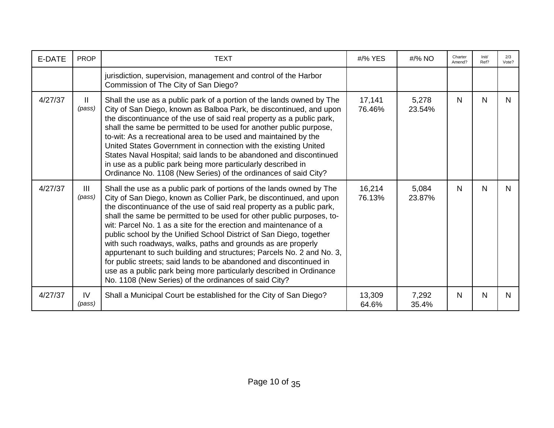| E-DATE  | <b>PROP</b>              | <b>TEXT</b>                                                                                                                                                                                                                                                                                                                                                                                                                                                                                                                                                                                                                                                                                                                                                                              | #/% YES          | #/% NO          | Charter<br>Amend? | Init/<br>Ref? | 2/3<br>Vote? |
|---------|--------------------------|------------------------------------------------------------------------------------------------------------------------------------------------------------------------------------------------------------------------------------------------------------------------------------------------------------------------------------------------------------------------------------------------------------------------------------------------------------------------------------------------------------------------------------------------------------------------------------------------------------------------------------------------------------------------------------------------------------------------------------------------------------------------------------------|------------------|-----------------|-------------------|---------------|--------------|
|         |                          | jurisdiction, supervision, management and control of the Harbor<br>Commission of The City of San Diego?                                                                                                                                                                                                                                                                                                                                                                                                                                                                                                                                                                                                                                                                                  |                  |                 |                   |               |              |
| 4/27/37 | Ш.<br>(pass)             | Shall the use as a public park of a portion of the lands owned by The<br>City of San Diego, known as Balboa Park, be discontinued, and upon<br>the discontinuance of the use of said real property as a public park,<br>shall the same be permitted to be used for another public purpose,<br>to-wit: As a recreational area to be used and maintained by the<br>United States Government in connection with the existing United<br>States Naval Hospital; said lands to be abandoned and discontinued<br>in use as a public park being more particularly described in<br>Ordinance No. 1108 (New Series) of the ordinances of said City?                                                                                                                                                | 17,141<br>76.46% | 5,278<br>23.54% | N                 | N             | N            |
| 4/27/37 | $\mathbf{III}$<br>(pass) | Shall the use as a public park of portions of the lands owned by The<br>City of San Diego, known as Collier Park, be discontinued, and upon<br>the discontinuance of the use of said real property as a public park,<br>shall the same be permitted to be used for other public purposes, to-<br>wit: Parcel No. 1 as a site for the erection and maintenance of a<br>public school by the Unified School District of San Diego, together<br>with such roadways, walks, paths and grounds as are properly<br>appurtenant to such building and structures; Parcels No. 2 and No. 3,<br>for public streets; said lands to be abandoned and discontinued in<br>use as a public park being more particularly described in Ordinance<br>No. 1108 (New Series) of the ordinances of said City? | 16,214<br>76.13% | 5,084<br>23.87% | N                 | N             | N.           |
| 4/27/37 | IV<br>(pass)             | Shall a Municipal Court be established for the City of San Diego?                                                                                                                                                                                                                                                                                                                                                                                                                                                                                                                                                                                                                                                                                                                        | 13,309<br>64.6%  | 7,292<br>35.4%  | N                 | N             | N.           |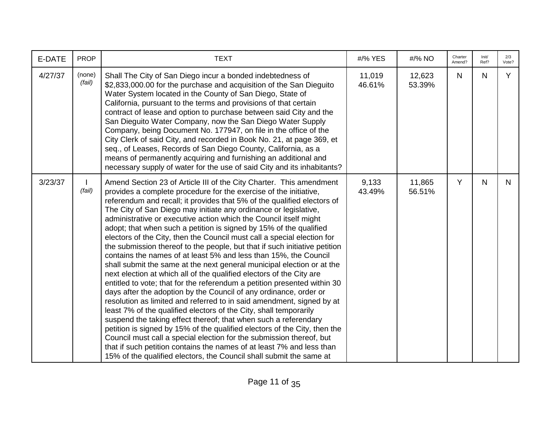| E-DATE  | <b>PROP</b>      | <b>TEXT</b>                                                                                                                                                                                                                                                                                                                                                                                                                                                                                                                                                                                                                                                                                                                                                                                                                                                                                                                                                                                                                                                                                                                                                                                                                                                                                                                                                                                                                                                                              | #/% YES          | #/% NO           | Charter<br>Amend? | Init/<br>Ref? | 2/3<br>Vote? |
|---------|------------------|------------------------------------------------------------------------------------------------------------------------------------------------------------------------------------------------------------------------------------------------------------------------------------------------------------------------------------------------------------------------------------------------------------------------------------------------------------------------------------------------------------------------------------------------------------------------------------------------------------------------------------------------------------------------------------------------------------------------------------------------------------------------------------------------------------------------------------------------------------------------------------------------------------------------------------------------------------------------------------------------------------------------------------------------------------------------------------------------------------------------------------------------------------------------------------------------------------------------------------------------------------------------------------------------------------------------------------------------------------------------------------------------------------------------------------------------------------------------------------------|------------------|------------------|-------------------|---------------|--------------|
| 4/27/37 | (none)<br>(fail) | Shall The City of San Diego incur a bonded indebtedness of<br>\$2,833,000.00 for the purchase and acquisition of the San Dieguito<br>Water System located in the County of San Diego, State of<br>California, pursuant to the terms and provisions of that certain<br>contract of lease and option to purchase between said City and the<br>San Dieguito Water Company, now the San Diego Water Supply<br>Company, being Document No. 177947, on file in the office of the<br>City Clerk of said City, and recorded in Book No. 21, at page 369, et<br>seq., of Leases, Records of San Diego County, California, as a<br>means of permanently acquiring and furnishing an additional and<br>necessary supply of water for the use of said City and its inhabitants?                                                                                                                                                                                                                                                                                                                                                                                                                                                                                                                                                                                                                                                                                                                      | 11,019<br>46.61% | 12,623<br>53.39% | $\mathsf{N}$      | N             | Y            |
| 3/23/37 | (fail)           | Amend Section 23 of Article III of the City Charter. This amendment<br>provides a complete procedure for the exercise of the initiative,<br>referendum and recall; it provides that 5% of the qualified electors of<br>The City of San Diego may initiate any ordinance or legislative,<br>administrative or executive action which the Council itself might<br>adopt; that when such a petition is signed by 15% of the qualified<br>electors of the City, then the Council must call a special election for<br>the submission thereof to the people, but that if such initiative petition<br>contains the names of at least 5% and less than 15%, the Council<br>shall submit the same at the next general municipal election or at the<br>next election at which all of the qualified electors of the City are<br>entitled to vote; that for the referendum a petition presented within 30<br>days after the adoption by the Council of any ordinance, order or<br>resolution as limited and referred to in said amendment, signed by at<br>least 7% of the qualified electors of the City, shall temporarily<br>suspend the taking effect thereof; that when such a referendary<br>petition is signed by 15% of the qualified electors of the City, then the<br>Council must call a special election for the submission thereof, but<br>that if such petition contains the names of at least 7% and less than<br>15% of the qualified electors, the Council shall submit the same at | 9,133<br>43.49%  | 11,865<br>56.51% | Y                 | N             | N.           |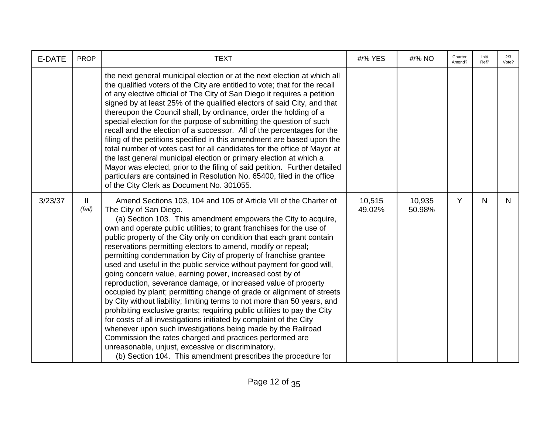| E-DATE  | <b>PROP</b>             | <b>TEXT</b>                                                                                                                                                                                                                                                                                                                                                                                                                                                                                                                                                                                                                                                                                                                                                                                                                                                                                                                                                                                                                                                                                                                                                                                                     | #/% YES          | #/% NO           | Charter<br>Amend? | Init/<br>Ref? | 2/3<br>Vote? |
|---------|-------------------------|-----------------------------------------------------------------------------------------------------------------------------------------------------------------------------------------------------------------------------------------------------------------------------------------------------------------------------------------------------------------------------------------------------------------------------------------------------------------------------------------------------------------------------------------------------------------------------------------------------------------------------------------------------------------------------------------------------------------------------------------------------------------------------------------------------------------------------------------------------------------------------------------------------------------------------------------------------------------------------------------------------------------------------------------------------------------------------------------------------------------------------------------------------------------------------------------------------------------|------------------|------------------|-------------------|---------------|--------------|
|         |                         | the next general municipal election or at the next election at which all<br>the qualified voters of the City are entitled to vote; that for the recall<br>of any elective official of The City of San Diego it requires a petition<br>signed by at least 25% of the qualified electors of said City, and that<br>thereupon the Council shall, by ordinance, order the holding of a<br>special election for the purpose of submitting the question of such<br>recall and the election of a successor. All of the percentages for the<br>filing of the petitions specified in this amendment are based upon the<br>total number of votes cast for all candidates for the office of Mayor at<br>the last general municipal election or primary election at which a<br>Mayor was elected, prior to the filing of said petition. Further detailed<br>particulars are contained in Resolution No. 65400, filed in the office<br>of the City Clerk as Document No. 301055.                                                                                                                                                                                                                                             |                  |                  |                   |               |              |
| 3/23/37 | $\mathbf{II}$<br>(fail) | Amend Sections 103, 104 and 105 of Article VII of the Charter of<br>The City of San Diego.<br>(a) Section 103. This amendment empowers the City to acquire,<br>own and operate public utilities; to grant franchises for the use of<br>public property of the City only on condition that each grant contain<br>reservations permitting electors to amend, modify or repeal;<br>permitting condemnation by City of property of franchise grantee<br>used and useful in the public service without payment for good will,<br>going concern value, earning power, increased cost by of<br>reproduction, severance damage, or increased value of property<br>occupied by plant; permitting change of grade or alignment of streets<br>by City without liability; limiting terms to not more than 50 years, and<br>prohibiting exclusive grants; requiring public utilities to pay the City<br>for costs of all investigations initiated by complaint of the City<br>whenever upon such investigations being made by the Railroad<br>Commission the rates charged and practices performed are<br>unreasonable, unjust, excessive or discriminatory.<br>(b) Section 104. This amendment prescribes the procedure for | 10,515<br>49.02% | 10,935<br>50.98% | Y                 | N             | N            |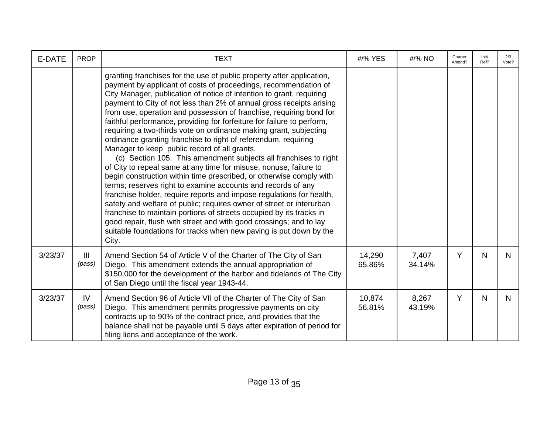| E-DATE  | <b>PROP</b>   | <b>TEXT</b>                                                                                                                                                                                                                                                                                                                                                                                                                                                                                                                                                                                                                                                                                                                                                                                                                                                                                                                                                                                                                                                                                                                                                                                                                                                                                  | #/% YES          | #/% NO          | Charter<br>Amend? | Init/<br>Ref? | 2/3<br>Vote? |
|---------|---------------|----------------------------------------------------------------------------------------------------------------------------------------------------------------------------------------------------------------------------------------------------------------------------------------------------------------------------------------------------------------------------------------------------------------------------------------------------------------------------------------------------------------------------------------------------------------------------------------------------------------------------------------------------------------------------------------------------------------------------------------------------------------------------------------------------------------------------------------------------------------------------------------------------------------------------------------------------------------------------------------------------------------------------------------------------------------------------------------------------------------------------------------------------------------------------------------------------------------------------------------------------------------------------------------------|------------------|-----------------|-------------------|---------------|--------------|
|         |               | granting franchises for the use of public property after application,<br>payment by applicant of costs of proceedings, recommendation of<br>City Manager, publication of notice of intention to grant, requiring<br>payment to City of not less than 2% of annual gross receipts arising<br>from use, operation and possession of franchise, requiring bond for<br>faithful performance, providing for forfeiture for failure to perform,<br>requiring a two-thirds vote on ordinance making grant, subjecting<br>ordinance granting franchise to right of referendum, requiring<br>Manager to keep public record of all grants.<br>(c) Section 105. This amendment subjects all franchises to right<br>of City to repeal same at any time for misuse, nonuse, failure to<br>begin construction within time prescribed, or otherwise comply with<br>terms; reserves right to examine accounts and records of any<br>franchise holder, require reports and impose regulations for health,<br>safety and welfare of public; requires owner of street or interurban<br>franchise to maintain portions of streets occupied by its tracks in<br>good repair, flush with street and with good crossings; and to lay<br>suitable foundations for tracks when new paving is put down by the<br>City. |                  |                 |                   |               |              |
| 3/23/37 | III<br>(pass) | Amend Section 54 of Article V of the Charter of The City of San<br>Diego. This amendment extends the annual appropriation of<br>\$150,000 for the development of the harbor and tidelands of The City<br>of San Diego until the fiscal year 1943-44.                                                                                                                                                                                                                                                                                                                                                                                                                                                                                                                                                                                                                                                                                                                                                                                                                                                                                                                                                                                                                                         | 14,290<br>65.86% | 7,407<br>34.14% | Y                 | $\mathsf{N}$  | N.           |
| 3/23/37 | IV<br>(pass)  | Amend Section 96 of Article VII of the Charter of The City of San<br>Diego. This amendment permits progressive payments on city<br>contracts up to 90% of the contract price, and provides that the<br>balance shall not be payable until 5 days after expiration of period for<br>filing liens and acceptance of the work.                                                                                                                                                                                                                                                                                                                                                                                                                                                                                                                                                                                                                                                                                                                                                                                                                                                                                                                                                                  | 10,874<br>56,81% | 8,267<br>43.19% | Y                 | N             | N.           |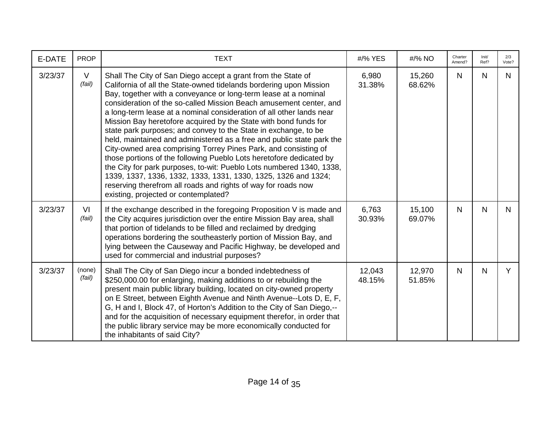| E-DATE  | <b>PROP</b>      | <b>TEXT</b>                                                                                                                                                                                                                                                                                                                                                                                                                                                                                                                                                                                                                                                                                                                                                                                                                                                                                                                                                      | #/% YES          | #/% NO           | Charter<br>Amend? | Init/<br>Ref? | 2/3<br>Vote? |
|---------|------------------|------------------------------------------------------------------------------------------------------------------------------------------------------------------------------------------------------------------------------------------------------------------------------------------------------------------------------------------------------------------------------------------------------------------------------------------------------------------------------------------------------------------------------------------------------------------------------------------------------------------------------------------------------------------------------------------------------------------------------------------------------------------------------------------------------------------------------------------------------------------------------------------------------------------------------------------------------------------|------------------|------------------|-------------------|---------------|--------------|
| 3/23/37 | $\vee$<br>(fail) | Shall The City of San Diego accept a grant from the State of<br>California of all the State-owned tidelands bordering upon Mission<br>Bay, together with a conveyance or long-term lease at a nominal<br>consideration of the so-called Mission Beach amusement center, and<br>a long-term lease at a nominal consideration of all other lands near<br>Mission Bay heretofore acquired by the State with bond funds for<br>state park purposes; and convey to the State in exchange, to be<br>held, maintained and administered as a free and public state park the<br>City-owned area comprising Torrey Pines Park, and consisting of<br>those portions of the following Pueblo Lots heretofore dedicated by<br>the City for park purposes, to-wit: Pueblo Lots numbered 1340, 1338,<br>1339, 1337, 1336, 1332, 1333, 1331, 1330, 1325, 1326 and 1324;<br>reserving therefrom all roads and rights of way for roads now<br>existing, projected or contemplated? | 6,980<br>31.38%  | 15,260<br>68.62% | N                 | N.            | N.           |
| 3/23/37 | VI<br>(fail)     | If the exchange described in the foregoing Proposition V is made and<br>the City acquires jurisdiction over the entire Mission Bay area, shall<br>that portion of tidelands to be filled and reclaimed by dredging<br>operations bordering the southeasterly portion of Mission Bay, and<br>lying between the Causeway and Pacific Highway, be developed and<br>used for commercial and industrial purposes?                                                                                                                                                                                                                                                                                                                                                                                                                                                                                                                                                     | 6,763<br>30.93%  | 15,100<br>69.07% | N.                | N             | N.           |
| 3/23/37 | (none)<br>(fail) | Shall The City of San Diego incur a bonded indebtedness of<br>\$250,000.00 for enlarging, making additions to or rebuilding the<br>present main public library building, located on city-owned property<br>on E Street, between Eighth Avenue and Ninth Avenue--Lots D, E, F,<br>G, H and I, Block 47, of Horton's Addition to the City of San Diego,--<br>and for the acquisition of necessary equipment therefor, in order that<br>the public library service may be more economically conducted for<br>the inhabitants of said City?                                                                                                                                                                                                                                                                                                                                                                                                                          | 12,043<br>48.15% | 12,970<br>51.85% | N                 | N             | Y            |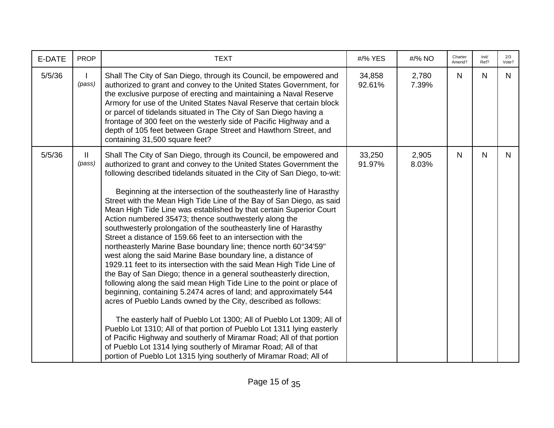| E-DATE | <b>PROP</b>             | <b>TEXT</b>                                                                                                                                                                                                                                                                                                                                                                                                                                                                                                                                                                                                                                                                                                                                                                                                                                                                                                                                                                                                                                                                                                                                                                                                                                                                                                                                                                                                                                                                                                  | #/% YES          | #/% NO         | Charter<br>Amend? | Init/<br>Ref? | 2/3<br>Vote? |
|--------|-------------------------|--------------------------------------------------------------------------------------------------------------------------------------------------------------------------------------------------------------------------------------------------------------------------------------------------------------------------------------------------------------------------------------------------------------------------------------------------------------------------------------------------------------------------------------------------------------------------------------------------------------------------------------------------------------------------------------------------------------------------------------------------------------------------------------------------------------------------------------------------------------------------------------------------------------------------------------------------------------------------------------------------------------------------------------------------------------------------------------------------------------------------------------------------------------------------------------------------------------------------------------------------------------------------------------------------------------------------------------------------------------------------------------------------------------------------------------------------------------------------------------------------------------|------------------|----------------|-------------------|---------------|--------------|
| 5/5/36 | (pass)                  | Shall The City of San Diego, through its Council, be empowered and<br>authorized to grant and convey to the United States Government, for<br>the exclusive purpose of erecting and maintaining a Naval Reserve<br>Armory for use of the United States Naval Reserve that certain block<br>or parcel of tidelands situated in The City of San Diego having a<br>frontage of 300 feet on the westerly side of Pacific Highway and a<br>depth of 105 feet between Grape Street and Hawthorn Street, and<br>containing 31,500 square feet?                                                                                                                                                                                                                                                                                                                                                                                                                                                                                                                                                                                                                                                                                                                                                                                                                                                                                                                                                                       | 34,858<br>92.61% | 2,780<br>7.39% | $\mathsf{N}$      | N             | N            |
| 5/5/36 | $\mathbf{II}$<br>(pass) | Shall The City of San Diego, through its Council, be empowered and<br>authorized to grant and convey to the United States Government the<br>following described tidelands situated in the City of San Diego, to-wit:<br>Beginning at the intersection of the southeasterly line of Harasthy<br>Street with the Mean High Tide Line of the Bay of San Diego, as said<br>Mean High Tide Line was established by that certain Superior Court<br>Action numbered 35473; thence southwesterly along the<br>southwesterly prolongation of the southeasterly line of Harasthy<br>Street a distance of 159.66 feet to an intersection with the<br>northeasterly Marine Base boundary line; thence north 60°34'59"<br>west along the said Marine Base boundary line, a distance of<br>1929.11 feet to its intersection with the said Mean High Tide Line of<br>the Bay of San Diego; thence in a general southeasterly direction,<br>following along the said mean High Tide Line to the point or place of<br>beginning, containing 5.2474 acres of land; and approximately 544<br>acres of Pueblo Lands owned by the City, described as follows:<br>The easterly half of Pueblo Lot 1300; All of Pueblo Lot 1309; All of<br>Pueblo Lot 1310; All of that portion of Pueblo Lot 1311 lying easterly<br>of Pacific Highway and southerly of Miramar Road; All of that portion<br>of Pueblo Lot 1314 lying southerly of Miramar Road; All of that<br>portion of Pueblo Lot 1315 lying southerly of Miramar Road; All of | 33,250<br>91.97% | 2,905<br>8.03% | N.                | N             | N.           |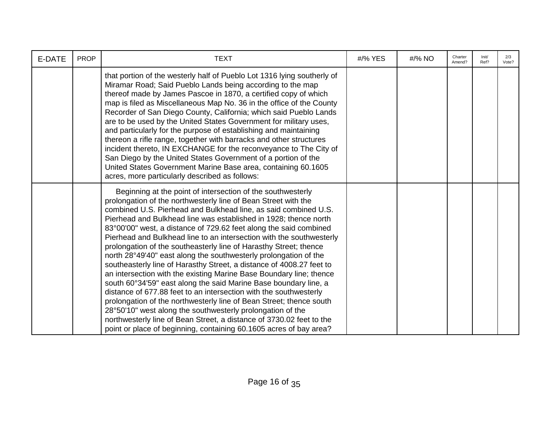| E-DATE | <b>PROP</b> | <b>TEXT</b>                                                                                                                                                                                                                                                                                                                                                                                                                                                                                                                                                                                                                                                                                                                                                                                                                                                                                                                                                                                                                                                                                                                           | #/% YES | #/% NO | Charter<br>Amend? | Init/<br>Ref? | 2/3<br>Vote? |
|--------|-------------|---------------------------------------------------------------------------------------------------------------------------------------------------------------------------------------------------------------------------------------------------------------------------------------------------------------------------------------------------------------------------------------------------------------------------------------------------------------------------------------------------------------------------------------------------------------------------------------------------------------------------------------------------------------------------------------------------------------------------------------------------------------------------------------------------------------------------------------------------------------------------------------------------------------------------------------------------------------------------------------------------------------------------------------------------------------------------------------------------------------------------------------|---------|--------|-------------------|---------------|--------------|
|        |             | that portion of the westerly half of Pueblo Lot 1316 lying southerly of<br>Miramar Road; Said Pueblo Lands being according to the map<br>thereof made by James Pascoe in 1870, a certified copy of which<br>map is filed as Miscellaneous Map No. 36 in the office of the County<br>Recorder of San Diego County, California; which said Pueblo Lands<br>are to be used by the United States Government for military uses,<br>and particularly for the purpose of establishing and maintaining<br>thereon a rifle range, together with barracks and other structures<br>incident thereto, IN EXCHANGE for the reconveyance to The City of<br>San Diego by the United States Government of a portion of the<br>United States Government Marine Base area, containing 60.1605<br>acres, more particularly described as follows:                                                                                                                                                                                                                                                                                                         |         |        |                   |               |              |
|        |             | Beginning at the point of intersection of the southwesterly<br>prolongation of the northwesterly line of Bean Street with the<br>combined U.S. Pierhead and Bulkhead line, as said combined U.S.<br>Pierhead and Bulkhead line was established in 1928; thence north<br>83°00'00" west, a distance of 729.62 feet along the said combined<br>Pierhead and Bulkhead line to an intersection with the southwesterly<br>prolongation of the southeasterly line of Harasthy Street; thence<br>north 28°49'40" east along the southwesterly prolongation of the<br>southeasterly line of Harasthy Street, a distance of 4008.27 feet to<br>an intersection with the existing Marine Base Boundary line; thence<br>south 60°34'59" east along the said Marine Base boundary line, a<br>distance of 677.88 feet to an intersection with the southwesterly<br>prolongation of the northwesterly line of Bean Street; thence south<br>28°50'10" west along the southwesterly prolongation of the<br>northwesterly line of Bean Street, a distance of 3730.02 feet to the<br>point or place of beginning, containing 60.1605 acres of bay area? |         |        |                   |               |              |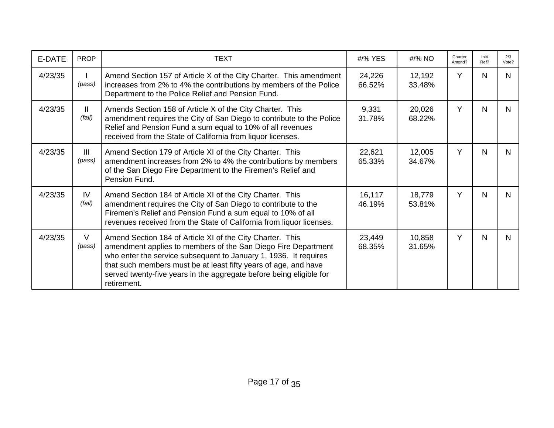| E-DATE  | <b>PROP</b>              | <b>TEXT</b>                                                                                                                                                                                                                                                                                                                                             | #/% YES          | #/% NO           | Charter<br>Amend? | Init/<br>Ref? | 2/3<br>Vote? |
|---------|--------------------------|---------------------------------------------------------------------------------------------------------------------------------------------------------------------------------------------------------------------------------------------------------------------------------------------------------------------------------------------------------|------------------|------------------|-------------------|---------------|--------------|
| 4/23/35 | (pass)                   | Amend Section 157 of Article X of the City Charter. This amendment<br>increases from 2% to 4% the contributions by members of the Police<br>Department to the Police Relief and Pension Fund.                                                                                                                                                           | 24,226<br>66.52% | 12,192<br>33.48% | Y                 | N             | N.           |
| 4/23/35 | $\mathbf{H}$<br>(fail)   | Amends Section 158 of Article X of the City Charter. This<br>amendment requires the City of San Diego to contribute to the Police<br>Relief and Pension Fund a sum equal to 10% of all revenues<br>received from the State of California from liquor licenses.                                                                                          | 9,331<br>31.78%  | 20,026<br>68.22% | Y                 | N             | N.           |
| 4/23/35 | $\mathbf{III}$<br>(pass) | Amend Section 179 of Article XI of the City Charter. This<br>amendment increases from 2% to 4% the contributions by members<br>of the San Diego Fire Department to the Firemen's Relief and<br>Pension Fund.                                                                                                                                            | 22,621<br>65.33% | 12,005<br>34.67% | Y                 | N             | N.           |
| 4/23/35 | IV<br>(fail)             | Amend Section 184 of Article XI of the City Charter. This<br>amendment requires the City of San Diego to contribute to the<br>Firemen's Relief and Pension Fund a sum equal to 10% of all<br>revenues received from the State of California from liquor licenses.                                                                                       | 16,117<br>46.19% | 18,779<br>53.81% | Y                 | $\mathsf{N}$  | N.           |
| 4/23/35 | V<br>(pass)              | Amend Section 184 of Article XI of the City Charter. This<br>amendment applies to members of the San Diego Fire Department<br>who enter the service subsequent to January 1, 1936. It requires<br>that such members must be at least fifty years of age, and have<br>served twenty-five years in the aggregate before being eligible for<br>retirement. | 23,449<br>68.35% | 10,858<br>31.65% | Y                 | N             | N.           |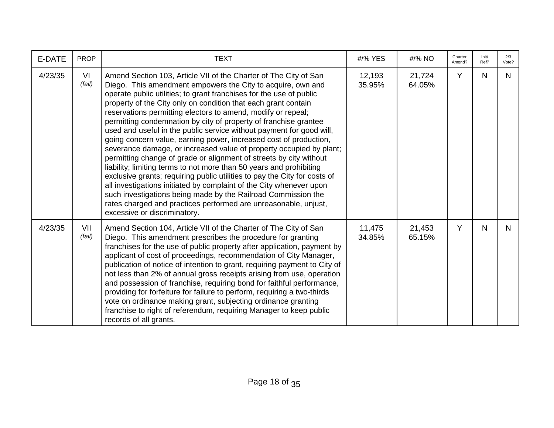| E-DATE  | <b>PROP</b>   | <b>TEXT</b>                                                                                                                                                                                                                                                                                                                                                                                                                                                                                                                                                                                                                                                                                                                                                                                                                                                                                                                                                                                                                                                                                           | #/% YES          | #/% NO           | Charter<br>Amend? | Init/<br>Ref? | 2/3<br>Vote? |
|---------|---------------|-------------------------------------------------------------------------------------------------------------------------------------------------------------------------------------------------------------------------------------------------------------------------------------------------------------------------------------------------------------------------------------------------------------------------------------------------------------------------------------------------------------------------------------------------------------------------------------------------------------------------------------------------------------------------------------------------------------------------------------------------------------------------------------------------------------------------------------------------------------------------------------------------------------------------------------------------------------------------------------------------------------------------------------------------------------------------------------------------------|------------------|------------------|-------------------|---------------|--------------|
| 4/23/35 | VI<br>(fail)  | Amend Section 103, Article VII of the Charter of The City of San<br>Diego. This amendment empowers the City to acquire, own and<br>operate public utilities; to grant franchises for the use of public<br>property of the City only on condition that each grant contain<br>reservations permitting electors to amend, modify or repeal;<br>permitting condemnation by city of property of franchise grantee<br>used and useful in the public service without payment for good will,<br>going concern value, earning power, increased cost of production,<br>severance damage, or increased value of property occupied by plant;<br>permitting change of grade or alignment of streets by city without<br>liability; limiting terms to not more than 50 years and prohibiting<br>exclusive grants; requiring public utilities to pay the City for costs of<br>all investigations initiated by complaint of the City whenever upon<br>such investigations being made by the Railroad Commission the<br>rates charged and practices performed are unreasonable, unjust,<br>excessive or discriminatory. | 12,193<br>35.95% | 21,724<br>64.05% | Y                 | N             | N.           |
| 4/23/35 | VII<br>(fail) | Amend Section 104, Article VII of the Charter of The City of San<br>Diego. This amendment prescribes the procedure for granting<br>franchises for the use of public property after application, payment by<br>applicant of cost of proceedings, recommendation of City Manager,<br>publication of notice of intention to grant, requiring payment to City of<br>not less than 2% of annual gross receipts arising from use, operation<br>and possession of franchise, requiring bond for faithful performance,<br>providing for forfeiture for failure to perform, requiring a two-thirds<br>vote on ordinance making grant, subjecting ordinance granting<br>franchise to right of referendum, requiring Manager to keep public<br>records of all grants.                                                                                                                                                                                                                                                                                                                                            | 11,475<br>34.85% | 21,453<br>65.15% | Y                 | N             | N.           |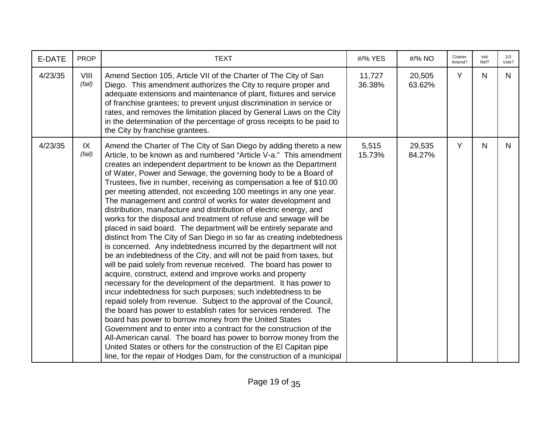| E-DATE  | <b>PROP</b>    | <b>TEXT</b>                                                                                                                                                                                                                                                                                                                                                                                                                                                                                                                                                                                                                                                                                                                                                                                                                                                                                                                                                                                                                                                                                                                                                                                                                                                                                                                                                                                                                                                                                                                                                                                                                                                                                                     | #/% YES          | #/% NO           | Charter<br>Amend? | Init/<br>Ref? | 2/3<br>Vote? |
|---------|----------------|-----------------------------------------------------------------------------------------------------------------------------------------------------------------------------------------------------------------------------------------------------------------------------------------------------------------------------------------------------------------------------------------------------------------------------------------------------------------------------------------------------------------------------------------------------------------------------------------------------------------------------------------------------------------------------------------------------------------------------------------------------------------------------------------------------------------------------------------------------------------------------------------------------------------------------------------------------------------------------------------------------------------------------------------------------------------------------------------------------------------------------------------------------------------------------------------------------------------------------------------------------------------------------------------------------------------------------------------------------------------------------------------------------------------------------------------------------------------------------------------------------------------------------------------------------------------------------------------------------------------------------------------------------------------------------------------------------------------|------------------|------------------|-------------------|---------------|--------------|
| 4/23/35 | VIII<br>(fail) | Amend Section 105, Article VII of the Charter of The City of San<br>Diego. This amendment authorizes the City to require proper and<br>adequate extensions and maintenance of plant, fixtures and service<br>of franchise grantees; to prevent unjust discrimination in service or<br>rates, and removes the limitation placed by General Laws on the City<br>in the determination of the percentage of gross receipts to be paid to<br>the City by franchise grantees.                                                                                                                                                                                                                                                                                                                                                                                                                                                                                                                                                                                                                                                                                                                                                                                                                                                                                                                                                                                                                                                                                                                                                                                                                                         | 11,727<br>36.38% | 20,505<br>63.62% | Y                 | $\mathsf{N}$  | $\mathsf{N}$ |
| 4/23/35 | IX<br>(fail)   | Amend the Charter of The City of San Diego by adding thereto a new<br>Article, to be known as and numbered "Article V-a." This amendment<br>creates an independent department to be known as the Department<br>of Water, Power and Sewage, the governing body to be a Board of<br>Trustees, five in number, receiving as compensation a fee of \$10.00<br>per meeting attended, not exceeding 100 meetings in any one year.<br>The management and control of works for water development and<br>distribution, manufacture and distribution of electric energy, and<br>works for the disposal and treatment of refuse and sewage will be<br>placed in said board. The department will be entirely separate and<br>distinct from The City of San Diego in so far as creating indebtedness<br>is concerned. Any indebtedness incurred by the department will not<br>be an indebtedness of the City, and will not be paid from taxes, but<br>will be paid solely from revenue received. The board has power to<br>acquire, construct, extend and improve works and property<br>necessary for the development of the department. It has power to<br>incur indebtedness for such purposes; such indebtedness to be<br>repaid solely from revenue. Subject to the approval of the Council,<br>the board has power to establish rates for services rendered. The<br>board has power to borrow money from the United States<br>Government and to enter into a contract for the construction of the<br>All-American canal. The board has power to borrow money from the<br>United States or others for the construction of the EI Capitan pipe<br>line, for the repair of Hodges Dam, for the construction of a municipal | 5,515<br>15.73%  | 29,535<br>84.27% | Y                 | $\mathsf{N}$  | N            |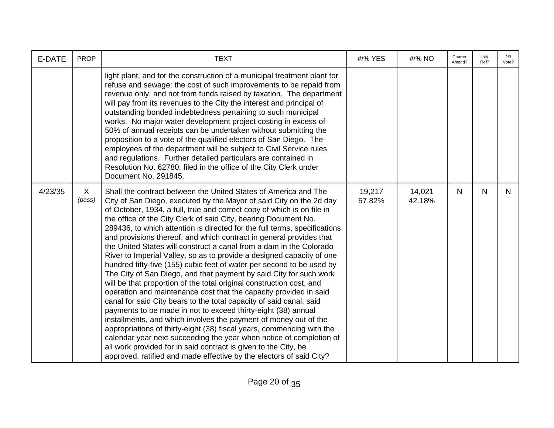| E-DATE  | <b>PROP</b> | <b>TEXT</b>                                                                                                                                                                                                                                                                                                                                                                                                                                                                                                                                                                                                                                                                                                                                                                                                                                                                                                                                                                                                                                                                                                                                                                                                                                                                                                                                                                               | #/% YES          | #/% NO           | Charter<br>Amend? | Init/<br>Ref? | 2/3<br>Vote? |
|---------|-------------|-------------------------------------------------------------------------------------------------------------------------------------------------------------------------------------------------------------------------------------------------------------------------------------------------------------------------------------------------------------------------------------------------------------------------------------------------------------------------------------------------------------------------------------------------------------------------------------------------------------------------------------------------------------------------------------------------------------------------------------------------------------------------------------------------------------------------------------------------------------------------------------------------------------------------------------------------------------------------------------------------------------------------------------------------------------------------------------------------------------------------------------------------------------------------------------------------------------------------------------------------------------------------------------------------------------------------------------------------------------------------------------------|------------------|------------------|-------------------|---------------|--------------|
|         |             | light plant, and for the construction of a municipal treatment plant for<br>refuse and sewage: the cost of such improvements to be repaid from<br>revenue only, and not from funds raised by taxation. The department<br>will pay from its revenues to the City the interest and principal of<br>outstanding bonded indebtedness pertaining to such municipal<br>works. No major water development project costing in excess of<br>50% of annual receipts can be undertaken without submitting the<br>proposition to a vote of the qualified electors of San Diego. The<br>employees of the department will be subject to Civil Service rules<br>and regulations. Further detailed particulars are contained in<br>Resolution No. 62780, filed in the office of the City Clerk under<br>Document No. 291845.                                                                                                                                                                                                                                                                                                                                                                                                                                                                                                                                                                              |                  |                  |                   |               |              |
| 4/23/35 | X<br>(pass) | Shall the contract between the United States of America and The<br>City of San Diego, executed by the Mayor of said City on the 2d day<br>of October, 1934, a full, true and correct copy of which is on file in<br>the office of the City Clerk of said City, bearing Document No.<br>289436, to which attention is directed for the full terms, specifications<br>and provisions thereof, and which contract in general provides that<br>the United States will construct a canal from a dam in the Colorado<br>River to Imperial Valley, so as to provide a designed capacity of one<br>hundred fifty-five (155) cubic feet of water per second to be used by<br>The City of San Diego, and that payment by said City for such work<br>will be that proportion of the total original construction cost, and<br>operation and maintenance cost that the capacity provided in said<br>canal for said City bears to the total capacity of said canal; said<br>payments to be made in not to exceed thirty-eight (38) annual<br>installments, and which involves the payment of money out of the<br>appropriations of thirty-eight (38) fiscal years, commencing with the<br>calendar year next succeeding the year when notice of completion of<br>all work provided for in said contract is given to the City, be<br>approved, ratified and made effective by the electors of said City? | 19,217<br>57.82% | 14,021<br>42.18% | N.                | N             | N.           |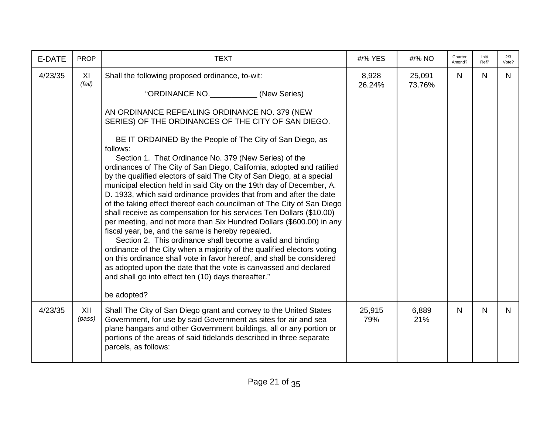| E-DATE  | <b>PROP</b>   | <b>TEXT</b>                                                                                                                                                                                                                                                                                                                                                                                                                                                                                                                                                                                                                                                                                                                                                                                                                                                                                                                                                                                                                                                                                                                                                                                                                                                                    | #/% YES         | #/% NO           | Charter<br>Amend? | Init/<br>Ref? | 2/3<br>Vote? |
|---------|---------------|--------------------------------------------------------------------------------------------------------------------------------------------------------------------------------------------------------------------------------------------------------------------------------------------------------------------------------------------------------------------------------------------------------------------------------------------------------------------------------------------------------------------------------------------------------------------------------------------------------------------------------------------------------------------------------------------------------------------------------------------------------------------------------------------------------------------------------------------------------------------------------------------------------------------------------------------------------------------------------------------------------------------------------------------------------------------------------------------------------------------------------------------------------------------------------------------------------------------------------------------------------------------------------|-----------------|------------------|-------------------|---------------|--------------|
| 4/23/35 | XI<br>(fail)  | Shall the following proposed ordinance, to-wit:<br>"ORDINANCE NO. ____________(New Series)<br>AN ORDINANCE REPEALING ORDINANCE NO. 379 (NEW<br>SERIES) OF THE ORDINANCES OF THE CITY OF SAN DIEGO.<br>BE IT ORDAINED By the People of The City of San Diego, as<br>follows:<br>Section 1. That Ordinance No. 379 (New Series) of the<br>ordinances of The City of San Diego, California, adopted and ratified<br>by the qualified electors of said The City of San Diego, at a special<br>municipal election held in said City on the 19th day of December, A.<br>D. 1933, which said ordinance provides that from and after the date<br>of the taking effect thereof each councilman of The City of San Diego<br>shall receive as compensation for his services Ten Dollars (\$10.00)<br>per meeting, and not more than Six Hundred Dollars (\$600.00) in any<br>fiscal year, be, and the same is hereby repealed.<br>Section 2. This ordinance shall become a valid and binding<br>ordinance of the City when a majority of the qualified electors voting<br>on this ordinance shall vote in favor hereof, and shall be considered<br>as adopted upon the date that the vote is canvassed and declared<br>and shall go into effect ten (10) days thereafter."<br>be adopted? | 8,928<br>26.24% | 25,091<br>73.76% | N.                | N             | N            |
| 4/23/35 | XII<br>(pass) | Shall The City of San Diego grant and convey to the United States<br>Government, for use by said Government as sites for air and sea<br>plane hangars and other Government buildings, all or any portion or<br>portions of the areas of said tidelands described in three separate<br>parcels, as follows:                                                                                                                                                                                                                                                                                                                                                                                                                                                                                                                                                                                                                                                                                                                                                                                                                                                                                                                                                                     | 25,915<br>79%   | 6,889<br>21%     | N                 | N             | N.           |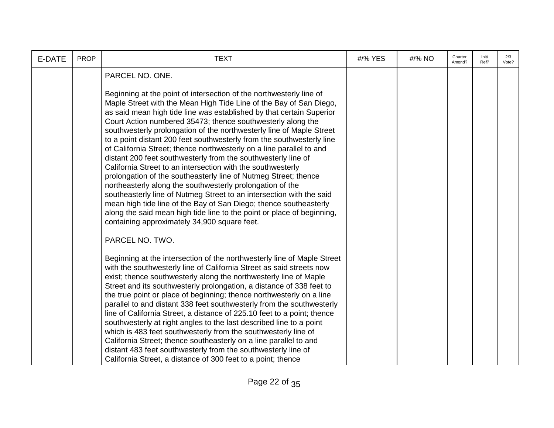| E-DATE | <b>PROP</b> | <b>TEXT</b>                                                                                                                                                                                                                                                                                                                                                                                                                                                                                                                                                                                                                                                                                                                                                                                                                                                                                                                                                                                                                                                         | #/% YES | #/% NO | Charter<br>Amend? | Init/<br>Ref? | 2/3<br>Vote? |
|--------|-------------|---------------------------------------------------------------------------------------------------------------------------------------------------------------------------------------------------------------------------------------------------------------------------------------------------------------------------------------------------------------------------------------------------------------------------------------------------------------------------------------------------------------------------------------------------------------------------------------------------------------------------------------------------------------------------------------------------------------------------------------------------------------------------------------------------------------------------------------------------------------------------------------------------------------------------------------------------------------------------------------------------------------------------------------------------------------------|---------|--------|-------------------|---------------|--------------|
|        |             | PARCEL NO. ONE.<br>Beginning at the point of intersection of the northwesterly line of<br>Maple Street with the Mean High Tide Line of the Bay of San Diego,<br>as said mean high tide line was established by that certain Superior<br>Court Action numbered 35473; thence southwesterly along the<br>southwesterly prolongation of the northwesterly line of Maple Street<br>to a point distant 200 feet southwesterly from the southwesterly line<br>of California Street; thence northwesterly on a line parallel to and<br>distant 200 feet southwesterly from the southwesterly line of<br>California Street to an intersection with the southwesterly<br>prolongation of the southeasterly line of Nutmeg Street; thence<br>northeasterly along the southwesterly prolongation of the<br>southeasterly line of Nutmeg Street to an intersection with the said<br>mean high tide line of the Bay of San Diego; thence southeasterly<br>along the said mean high tide line to the point or place of beginning,<br>containing approximately 34,900 square feet. |         |        |                   |               |              |
|        |             | PARCEL NO. TWO.<br>Beginning at the intersection of the northwesterly line of Maple Street<br>with the southwesterly line of California Street as said streets now<br>exist; thence southwesterly along the northwesterly line of Maple<br>Street and its southwesterly prolongation, a distance of 338 feet to<br>the true point or place of beginning; thence northwesterly on a line<br>parallel to and distant 338 feet southwesterly from the southwesterly<br>line of California Street, a distance of 225.10 feet to a point; thence<br>southwesterly at right angles to the last described line to a point<br>which is 483 feet southwesterly from the southwesterly line of<br>California Street; thence southeasterly on a line parallel to and<br>distant 483 feet southwesterly from the southwesterly line of<br>California Street, a distance of 300 feet to a point; thence                                                                                                                                                                          |         |        |                   |               |              |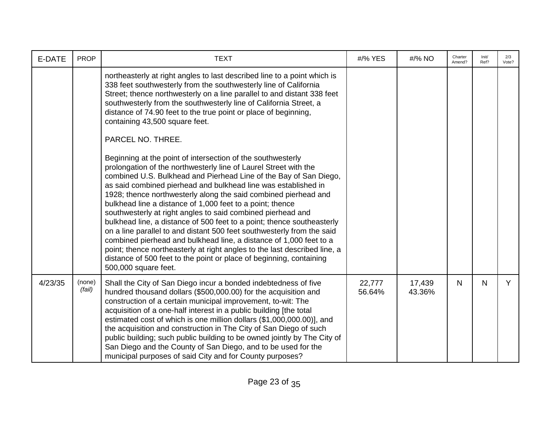| E-DATE  | <b>PROP</b>      | <b>TEXT</b>                                                                                                                                                                                                                                                                                                                                                                                                                                                                                                                                                                                                                                                                                                                                                                                                                                                                 | #/% YES          | #/% NO           | Charter<br>Amend? | Init/<br>Ref? | 2/3<br>Vote? |
|---------|------------------|-----------------------------------------------------------------------------------------------------------------------------------------------------------------------------------------------------------------------------------------------------------------------------------------------------------------------------------------------------------------------------------------------------------------------------------------------------------------------------------------------------------------------------------------------------------------------------------------------------------------------------------------------------------------------------------------------------------------------------------------------------------------------------------------------------------------------------------------------------------------------------|------------------|------------------|-------------------|---------------|--------------|
|         |                  | northeasterly at right angles to last described line to a point which is<br>338 feet southwesterly from the southwesterly line of California<br>Street; thence northwesterly on a line parallel to and distant 338 feet<br>southwesterly from the southwesterly line of California Street, a<br>distance of 74.90 feet to the true point or place of beginning,<br>containing 43,500 square feet.<br>PARCEL NO. THREE.                                                                                                                                                                                                                                                                                                                                                                                                                                                      |                  |                  |                   |               |              |
|         |                  | Beginning at the point of intersection of the southwesterly<br>prolongation of the northwesterly line of Laurel Street with the<br>combined U.S. Bulkhead and Pierhead Line of the Bay of San Diego,<br>as said combined pierhead and bulkhead line was established in<br>1928; thence northwesterly along the said combined pierhead and<br>bulkhead line a distance of 1,000 feet to a point; thence<br>southwesterly at right angles to said combined pierhead and<br>bulkhead line, a distance of 500 feet to a point; thence southeasterly<br>on a line parallel to and distant 500 feet southwesterly from the said<br>combined pierhead and bulkhead line, a distance of 1,000 feet to a<br>point; thence northeasterly at right angles to the last described line, a<br>distance of 500 feet to the point or place of beginning, containing<br>500,000 square feet. |                  |                  |                   |               |              |
| 4/23/35 | (none)<br>(fail) | Shall the City of San Diego incur a bonded indebtedness of five<br>hundred thousand dollars (\$500,000.00) for the acquisition and<br>construction of a certain municipal improvement, to-wit: The<br>acquisition of a one-half interest in a public building [the total<br>estimated cost of which is one million dollars (\$1,000,000.00)], and<br>the acquisition and construction in The City of San Diego of such<br>public building; such public building to be owned jointly by The City of<br>San Diego and the County of San Diego, and to be used for the<br>municipal purposes of said City and for County purposes?                                                                                                                                                                                                                                             | 22,777<br>56.64% | 17,439<br>43.36% | N                 | N             | Y.           |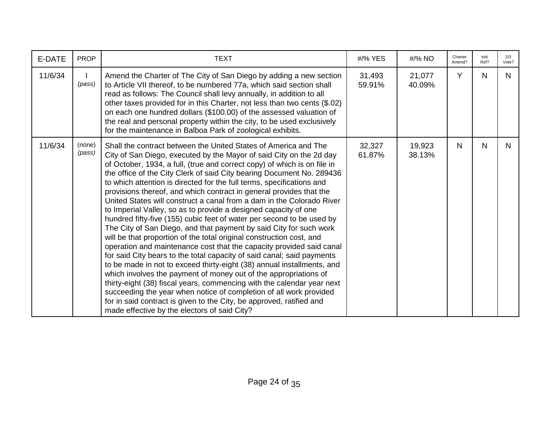| E-DATE  | <b>PROP</b>      | <b>TEXT</b>                                                                                                                                                                                                                                                                                                                                                                                                                                                                                                                                                                                                                                                                                                                                                                                                                                                                                                                                                                                                                                                                                                                                                                                                                                                                                                                                                                            | #/% YES          | #/% NO           | Charter<br>Amend? | Init/<br>Ref? | 2/3<br>Vote? |
|---------|------------------|----------------------------------------------------------------------------------------------------------------------------------------------------------------------------------------------------------------------------------------------------------------------------------------------------------------------------------------------------------------------------------------------------------------------------------------------------------------------------------------------------------------------------------------------------------------------------------------------------------------------------------------------------------------------------------------------------------------------------------------------------------------------------------------------------------------------------------------------------------------------------------------------------------------------------------------------------------------------------------------------------------------------------------------------------------------------------------------------------------------------------------------------------------------------------------------------------------------------------------------------------------------------------------------------------------------------------------------------------------------------------------------|------------------|------------------|-------------------|---------------|--------------|
| 11/6/34 | (pass)           | Amend the Charter of The City of San Diego by adding a new section<br>to Article VII thereof, to be numbered 77a, which said section shall<br>read as follows: The Council shall levy annually, in addition to all<br>other taxes provided for in this Charter, not less than two cents (\$.02)<br>on each one hundred dollars (\$100.00) of the assessed valuation of<br>the real and personal property within the city, to be used exclusively<br>for the maintenance in Balboa Park of zoological exhibits.                                                                                                                                                                                                                                                                                                                                                                                                                                                                                                                                                                                                                                                                                                                                                                                                                                                                         | 31,493<br>59.91% | 21,077<br>40.09% | Y                 | N             | N.           |
| 11/6/34 | (none)<br>(pass) | Shall the contract between the United States of America and The<br>City of San Diego, executed by the Mayor of said City on the 2d day<br>of October, 1934, a full, (true and correct copy) of which is on file in<br>the office of the City Clerk of said City bearing Document No. 289436<br>to which attention is directed for the full terms, specifications and<br>provisions thereof, and which contract in general provides that the<br>United States will construct a canal from a dam in the Colorado River<br>to Imperial Valley, so as to provide a designed capacity of one<br>hundred fifty-five (155) cubic feet of water per second to be used by<br>The City of San Diego, and that payment by said City for such work<br>will be that proportion of the total original construction cost, and<br>operation and maintenance cost that the capacity provided said canal<br>for said City bears to the total capacity of said canal; said payments<br>to be made in not to exceed thirty-eight (38) annual installments, and<br>which involves the payment of money out of the appropriations of<br>thirty-eight (38) fiscal years, commencing with the calendar year next<br>succeeding the year when notice of completion of all work provided<br>for in said contract is given to the City, be approved, ratified and<br>made effective by the electors of said City? | 32,327<br>61.87% | 19,923<br>38.13% | N                 | N             | N            |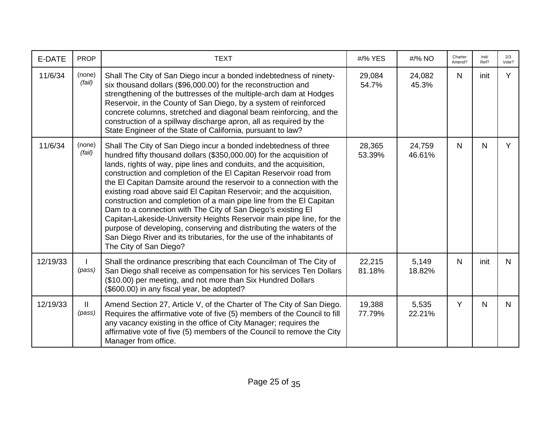| E-DATE   | <b>PROP</b>             | <b>TEXT</b>                                                                                                                                                                                                                                                                                                                                                                                                                                                                                                                                                                                                                                                                                                                                                                                                                     | #/% YES          | #/% NO           | Charter<br>Amend? | Init/<br>Ref? | 2/3<br>Vote? |
|----------|-------------------------|---------------------------------------------------------------------------------------------------------------------------------------------------------------------------------------------------------------------------------------------------------------------------------------------------------------------------------------------------------------------------------------------------------------------------------------------------------------------------------------------------------------------------------------------------------------------------------------------------------------------------------------------------------------------------------------------------------------------------------------------------------------------------------------------------------------------------------|------------------|------------------|-------------------|---------------|--------------|
| 11/6/34  | (none)<br>(fail)        | Shall The City of San Diego incur a bonded indebtedness of ninety-<br>six thousand dollars (\$96,000.00) for the reconstruction and<br>strengthening of the buttresses of the multiple-arch dam at Hodges<br>Reservoir, in the County of San Diego, by a system of reinforced<br>concrete columns, stretched and diagonal beam reinforcing, and the<br>construction of a spillway discharge apron, all as required by the<br>State Engineer of the State of California, pursuant to law?                                                                                                                                                                                                                                                                                                                                        | 29,084<br>54.7%  | 24,082<br>45.3%  | $\mathsf{N}$      | init          | Y            |
| 11/6/34  | (none)<br>(fail)        | Shall The City of San Diego incur a bonded indebtedness of three<br>hundred fifty thousand dollars (\$350,000.00) for the acquisition of<br>lands, rights of way, pipe lines and conduits, and the acquisition,<br>construction and completion of the El Capitan Reservoir road from<br>the El Capitan Damsite around the reservoir to a connection with the<br>existing road above said El Capitan Reservoir; and the acquisition,<br>construction and completion of a main pipe line from the EI Capitan<br>Dam to a connection with The City of San Diego's existing El<br>Capitan-Lakeside-University Heights Reservoir main pipe line, for the<br>purpose of developing, conserving and distributing the waters of the<br>San Diego River and its tributaries, for the use of the inhabitants of<br>The City of San Diego? | 28,365<br>53.39% | 24,759<br>46.61% | $\mathsf{N}$      | $\mathsf{N}$  | Y            |
| 12/19/33 | (pass)                  | Shall the ordinance prescribing that each Councilman of The City of<br>San Diego shall receive as compensation for his services Ten Dollars<br>(\$10.00) per meeting, and not more than Six Hundred Dollars<br>(\$600.00) in any fiscal year, be adopted?                                                                                                                                                                                                                                                                                                                                                                                                                                                                                                                                                                       | 22,215<br>81.18% | 5,149<br>18.82%  | $\mathsf{N}$      | init          | N.           |
| 12/19/33 | $\mathbf{II}$<br>(pass) | Amend Section 27, Article V, of the Charter of The City of San Diego.<br>Requires the affirmative vote of five (5) members of the Council to fill<br>any vacancy existing in the office of City Manager; requires the<br>affirmative vote of five (5) members of the Council to remove the City<br>Manager from office.                                                                                                                                                                                                                                                                                                                                                                                                                                                                                                         | 19,388<br>77.79% | 5,535<br>22.21%  | Y                 | N             | N.           |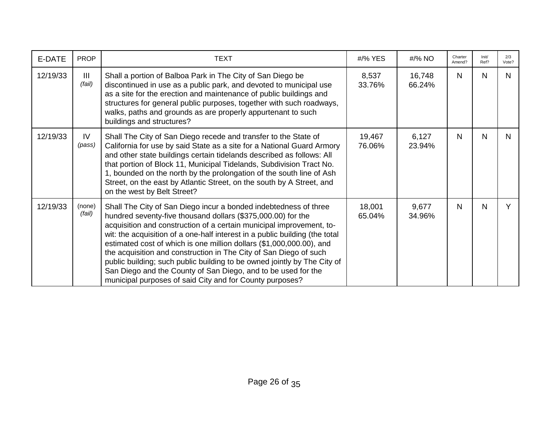| E-DATE   | <b>PROP</b>      | <b>TEXT</b>                                                                                                                                                                                                                                                                                                                                                                                                                                                                                                                                                                                                                                   | #/% YES          | #/% NO           | Charter<br>Amend? | Init/<br>Ref? | 2/3<br>Vote? |
|----------|------------------|-----------------------------------------------------------------------------------------------------------------------------------------------------------------------------------------------------------------------------------------------------------------------------------------------------------------------------------------------------------------------------------------------------------------------------------------------------------------------------------------------------------------------------------------------------------------------------------------------------------------------------------------------|------------------|------------------|-------------------|---------------|--------------|
| 12/19/33 | III<br>(fail)    | Shall a portion of Balboa Park in The City of San Diego be<br>discontinued in use as a public park, and devoted to municipal use<br>as a site for the erection and maintenance of public buildings and<br>structures for general public purposes, together with such roadways,<br>walks, paths and grounds as are properly appurtenant to such<br>buildings and structures?                                                                                                                                                                                                                                                                   | 8,537<br>33.76%  | 16,748<br>66.24% | $\mathsf{N}$      | $\mathsf{N}$  | N.           |
| 12/19/33 | IV<br>(pass)     | Shall The City of San Diego recede and transfer to the State of<br>California for use by said State as a site for a National Guard Armory<br>and other state buildings certain tidelands described as follows: All<br>that portion of Block 11, Municipal Tidelands, Subdivision Tract No.<br>1, bounded on the north by the prolongation of the south line of Ash<br>Street, on the east by Atlantic Street, on the south by A Street, and<br>on the west by Belt Street?                                                                                                                                                                    | 19,467<br>76.06% | 6,127<br>23.94%  | $\mathsf{N}$      | N             | N            |
| 12/19/33 | (none)<br>(fail) | Shall The City of San Diego incur a bonded indebtedness of three<br>hundred seventy-five thousand dollars (\$375,000.00) for the<br>acquisition and construction of a certain municipal improvement, to-<br>wit: the acquisition of a one-half interest in a public building (the total<br>estimated cost of which is one million dollars (\$1,000,000.00), and<br>the acquisition and construction in The City of San Diego of such<br>public building; such public building to be owned jointly by The City of<br>San Diego and the County of San Diego, and to be used for the<br>municipal purposes of said City and for County purposes? | 18,001<br>65.04% | 9,677<br>34.96%  | N                 | N             |              |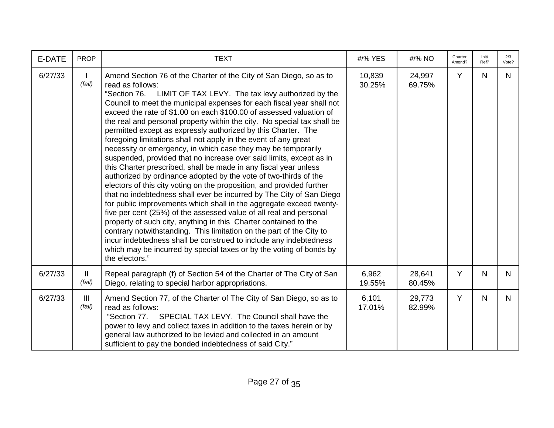| E-DATE  | <b>PROP</b>            | <b>TEXT</b>                                                                                                                                                                                                                                                                                                                                                                                                                                                                                                                                                                                                                                                                                                                                                                                                                                                                                                                                                                                                                                                                                                                                                                                                                                                                                                                                                                                                        | #/% YES          | #/% NO           | Charter<br>Amend? | Init/<br>Ref? | 2/3<br>Vote? |
|---------|------------------------|--------------------------------------------------------------------------------------------------------------------------------------------------------------------------------------------------------------------------------------------------------------------------------------------------------------------------------------------------------------------------------------------------------------------------------------------------------------------------------------------------------------------------------------------------------------------------------------------------------------------------------------------------------------------------------------------------------------------------------------------------------------------------------------------------------------------------------------------------------------------------------------------------------------------------------------------------------------------------------------------------------------------------------------------------------------------------------------------------------------------------------------------------------------------------------------------------------------------------------------------------------------------------------------------------------------------------------------------------------------------------------------------------------------------|------------------|------------------|-------------------|---------------|--------------|
| 6/27/33 | (fail)                 | Amend Section 76 of the Charter of the City of San Diego, so as to<br>read as follows:<br>"Section 76.<br>LIMIT OF TAX LEVY. The tax levy authorized by the<br>Council to meet the municipal expenses for each fiscal year shall not<br>exceed the rate of \$1.00 on each \$100.00 of assessed valuation of<br>the real and personal property within the city. No special tax shall be<br>permitted except as expressly authorized by this Charter. The<br>foregoing limitations shall not apply in the event of any great<br>necessity or emergency, in which case they may be temporarily<br>suspended, provided that no increase over said limits, except as in<br>this Charter prescribed, shall be made in any fiscal year unless<br>authorized by ordinance adopted by the vote of two-thirds of the<br>electors of this city voting on the proposition, and provided further<br>that no indebtedness shall ever be incurred by The City of San Diego<br>for public improvements which shall in the aggregate exceed twenty-<br>five per cent (25%) of the assessed value of all real and personal<br>property of such city, anything in this Charter contained to the<br>contrary notwithstanding. This limitation on the part of the City to<br>incur indebtedness shall be construed to include any indebtedness<br>which may be incurred by special taxes or by the voting of bonds by<br>the electors." | 10,839<br>30.25% | 24,997<br>69.75% | Y                 | N             | N.           |
| 6/27/33 | $\mathbf{I}$<br>(fail) | Repeal paragraph (f) of Section 54 of the Charter of The City of San<br>Diego, relating to special harbor appropriations.                                                                                                                                                                                                                                                                                                                                                                                                                                                                                                                                                                                                                                                                                                                                                                                                                                                                                                                                                                                                                                                                                                                                                                                                                                                                                          | 6,962<br>19.55%  | 28,641<br>80.45% | Y                 | $\mathsf{N}$  | N.           |
| 6/27/33 | III<br>(fail)          | Amend Section 77, of the Charter of The City of San Diego, so as to<br>read as follows:<br>SPECIAL TAX LEVY. The Council shall have the<br>"Section 77.<br>power to levy and collect taxes in addition to the taxes herein or by<br>general law authorized to be levied and collected in an amount<br>sufficient to pay the bonded indebtedness of said City."                                                                                                                                                                                                                                                                                                                                                                                                                                                                                                                                                                                                                                                                                                                                                                                                                                                                                                                                                                                                                                                     | 6,101<br>17.01%  | 29,773<br>82.99% | Y                 | $\mathsf{N}$  | N.           |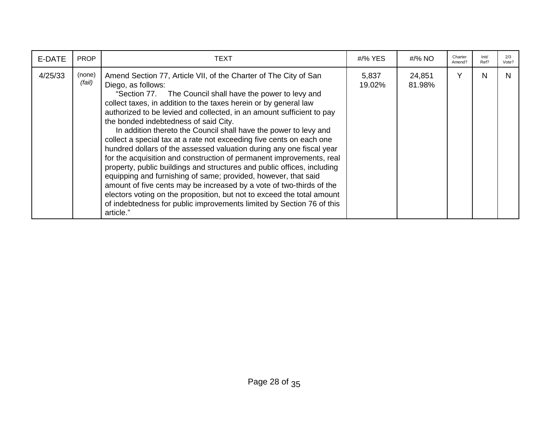| E-DATE  | <b>PROP</b>      | TEXT                                                                                                                                                                                                                                                                                                                                                                                                                                                                                                                                                                                                                                                                                                                                                                                                                                                                                                                                                                                                                       | #/% YES         | #/% NO           | Charter<br>Amend? | Init/<br>Ref? | 2/3<br>Vote? |
|---------|------------------|----------------------------------------------------------------------------------------------------------------------------------------------------------------------------------------------------------------------------------------------------------------------------------------------------------------------------------------------------------------------------------------------------------------------------------------------------------------------------------------------------------------------------------------------------------------------------------------------------------------------------------------------------------------------------------------------------------------------------------------------------------------------------------------------------------------------------------------------------------------------------------------------------------------------------------------------------------------------------------------------------------------------------|-----------------|------------------|-------------------|---------------|--------------|
| 4/25/33 | (none)<br>(fail) | Amend Section 77, Article VII, of the Charter of The City of San<br>Diego, as follows:<br>"Section 77. The Council shall have the power to levy and<br>collect taxes, in addition to the taxes herein or by general law<br>authorized to be levied and collected, in an amount sufficient to pay<br>the bonded indebtedness of said City.<br>In addition thereto the Council shall have the power to levy and<br>collect a special tax at a rate not exceeding five cents on each one<br>hundred dollars of the assessed valuation during any one fiscal year<br>for the acquisition and construction of permanent improvements, real<br>property, public buildings and structures and public offices, including<br>equipping and furnishing of same; provided, however, that said<br>amount of five cents may be increased by a vote of two-thirds of the<br>electors voting on the proposition, but not to exceed the total amount<br>of indebtedness for public improvements limited by Section 76 of this<br>article." | 5,837<br>19.02% | 24,851<br>81.98% | $\checkmark$      | N             |              |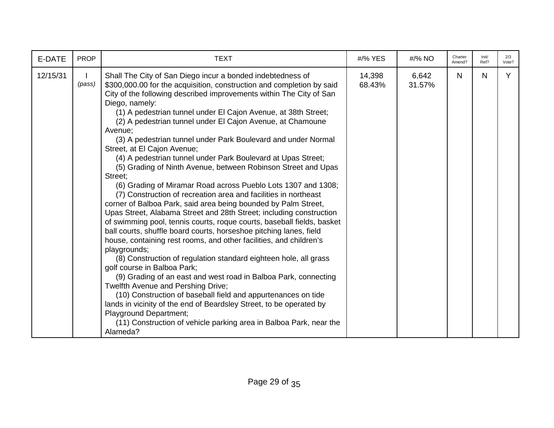| E-DATE   | <b>PROP</b> | <b>TEXT</b>                                                                                                                                                                                                                                                                                                                                                                                                                                                                                                                                                                                                                                                                                                                                                                                                                                                                                                                                                                                                                                                                                                                                                                                                                                                                                                                                                                                                                                                                                                                                                                                            | #/% YES          | #/% NO          | Charter<br>Amend? | Init/<br>Ref? | 2/3<br>Vote? |
|----------|-------------|--------------------------------------------------------------------------------------------------------------------------------------------------------------------------------------------------------------------------------------------------------------------------------------------------------------------------------------------------------------------------------------------------------------------------------------------------------------------------------------------------------------------------------------------------------------------------------------------------------------------------------------------------------------------------------------------------------------------------------------------------------------------------------------------------------------------------------------------------------------------------------------------------------------------------------------------------------------------------------------------------------------------------------------------------------------------------------------------------------------------------------------------------------------------------------------------------------------------------------------------------------------------------------------------------------------------------------------------------------------------------------------------------------------------------------------------------------------------------------------------------------------------------------------------------------------------------------------------------------|------------------|-----------------|-------------------|---------------|--------------|
| 12/15/31 | (pass)      | Shall The City of San Diego incur a bonded indebtedness of<br>\$300,000.00 for the acquisition, construction and completion by said<br>City of the following described improvements within The City of San<br>Diego, namely:<br>(1) A pedestrian tunnel under El Cajon Avenue, at 38th Street;<br>(2) A pedestrian tunnel under El Cajon Avenue, at Chamoune<br>Avenue;<br>(3) A pedestrian tunnel under Park Boulevard and under Normal<br>Street, at El Cajon Avenue;<br>(4) A pedestrian tunnel under Park Boulevard at Upas Street;<br>(5) Grading of Ninth Avenue, between Robinson Street and Upas<br>Street;<br>(6) Grading of Miramar Road across Pueblo Lots 1307 and 1308;<br>(7) Construction of recreation area and facilities in northeast<br>corner of Balboa Park, said area being bounded by Palm Street,<br>Upas Street, Alabama Street and 28th Street; including construction<br>of swimming pool, tennis courts, roque courts, baseball fields, basket<br>ball courts, shuffle board courts, horseshoe pitching lanes, field<br>house, containing rest rooms, and other facilities, and children's<br>playgrounds;<br>(8) Construction of regulation standard eighteen hole, all grass<br>golf course in Balboa Park;<br>(9) Grading of an east and west road in Balboa Park, connecting<br>Twelfth Avenue and Pershing Drive;<br>(10) Construction of baseball field and appurtenances on tide<br>lands in vicinity of the end of Beardsley Street, to be operated by<br>Playground Department;<br>(11) Construction of vehicle parking area in Balboa Park, near the<br>Alameda? | 14,398<br>68.43% | 6,642<br>31.57% | $\mathsf{N}$      | N             | Y            |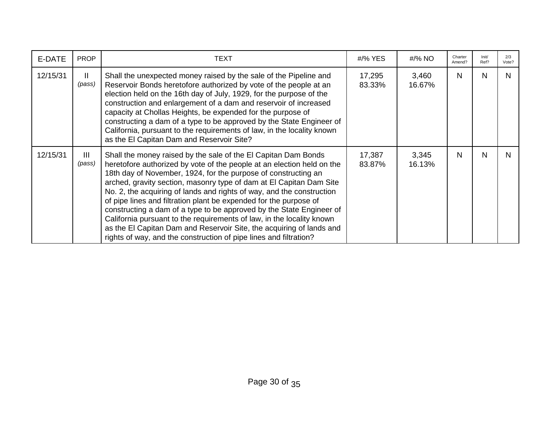| E-DATE   | <b>PROP</b>            | TEXT                                                                                                                                                                                                                                                                                                                                                                                                                                                                                                                                                                                                                                                                                                                          | #/% YES          | #/% NO          | Charter<br>Amend? | Init/<br>Ref? | 2/3<br>Vote? |
|----------|------------------------|-------------------------------------------------------------------------------------------------------------------------------------------------------------------------------------------------------------------------------------------------------------------------------------------------------------------------------------------------------------------------------------------------------------------------------------------------------------------------------------------------------------------------------------------------------------------------------------------------------------------------------------------------------------------------------------------------------------------------------|------------------|-----------------|-------------------|---------------|--------------|
| 12/15/31 | $\mathbf{H}$<br>(pass) | Shall the unexpected money raised by the sale of the Pipeline and<br>Reservoir Bonds heretofore authorized by vote of the people at an<br>election held on the 16th day of July, 1929, for the purpose of the<br>construction and enlargement of a dam and reservoir of increased<br>capacity at Chollas Heights, be expended for the purpose of<br>constructing a dam of a type to be approved by the State Engineer of<br>California, pursuant to the requirements of law, in the locality known<br>as the El Capitan Dam and Reservoir Site?                                                                                                                                                                               | 17,295<br>83.33% | 3,460<br>16.67% | N                 | N             | N            |
| 12/15/31 | III<br>(pass)          | Shall the money raised by the sale of the El Capitan Dam Bonds<br>heretofore authorized by vote of the people at an election held on the<br>18th day of November, 1924, for the purpose of constructing an<br>arched, gravity section, masonry type of dam at El Capitan Dam Site<br>No. 2, the acquiring of lands and rights of way, and the construction<br>of pipe lines and filtration plant be expended for the purpose of<br>constructing a dam of a type to be approved by the State Engineer of<br>California pursuant to the requirements of law, in the locality known<br>as the El Capitan Dam and Reservoir Site, the acquiring of lands and<br>rights of way, and the construction of pipe lines and filtration? | 17,387<br>83.87% | 3,345<br>16.13% | N                 | N             | N            |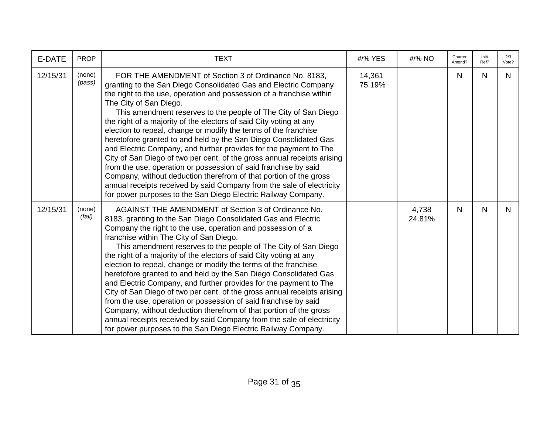| E-DATE   | <b>PROP</b>      | <b>TEXT</b>                                                                                                                                                                                                                                                                                                                                                                                                                                                                                                                                                                                                                                                                                                                                                                                                                                                                                                                                     | #/% YES          | #/% NO          | Charter<br>Amend? | Init/<br>Ref? | 2/3<br>Vote? |
|----------|------------------|-------------------------------------------------------------------------------------------------------------------------------------------------------------------------------------------------------------------------------------------------------------------------------------------------------------------------------------------------------------------------------------------------------------------------------------------------------------------------------------------------------------------------------------------------------------------------------------------------------------------------------------------------------------------------------------------------------------------------------------------------------------------------------------------------------------------------------------------------------------------------------------------------------------------------------------------------|------------------|-----------------|-------------------|---------------|--------------|
| 12/15/31 | (none)<br>(pass) | FOR THE AMENDMENT of Section 3 of Ordinance No. 8183,<br>granting to the San Diego Consolidated Gas and Electric Company<br>the right to the use, operation and possession of a franchise within<br>The City of San Diego.<br>This amendment reserves to the people of The City of San Diego<br>the right of a majority of the electors of said City voting at any<br>election to repeal, change or modify the terms of the franchise<br>heretofore granted to and held by the San Diego Consolidated Gas<br>and Electric Company, and further provides for the payment to The<br>City of San Diego of two per cent. of the gross annual receipts arising<br>from the use, operation or possession of said franchise by said<br>Company, without deduction therefrom of that portion of the gross<br>annual receipts received by said Company from the sale of electricity<br>for power purposes to the San Diego Electric Railway Company.     | 14,361<br>75.19% |                 | N                 | N             | N.           |
| 12/15/31 | (none)<br>(fail) | AGAINST THE AMENDMENT of Section 3 of Ordinance No.<br>8183, granting to the San Diego Consolidated Gas and Electric<br>Company the right to the use, operation and possession of a<br>franchise within The City of San Diego.<br>This amendment reserves to the people of The City of San Diego<br>the right of a majority of the electors of said City voting at any<br>election to repeal, change or modify the terms of the franchise<br>heretofore granted to and held by the San Diego Consolidated Gas<br>and Electric Company, and further provides for the payment to The<br>City of San Diego of two per cent. of the gross annual receipts arising<br>from the use, operation or possession of said franchise by said<br>Company, without deduction therefrom of that portion of the gross<br>annual receipts received by said Company from the sale of electricity<br>for power purposes to the San Diego Electric Railway Company. |                  | 4,738<br>24.81% | N                 | N             | N.           |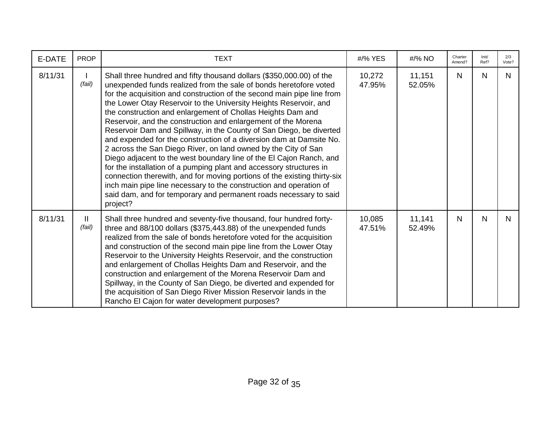| E-DATE  | <b>PROP</b>             | <b>TEXT</b>                                                                                                                                                                                                                                                                                                                                                                                                                                                                                                                                                                                                                                                                                                                                                                                                                                                                                                                                                                                                               | #/% YES          | #/% NO           | Charter<br>Amend? | Init/<br>Ref? | 2/3<br>Vote? |
|---------|-------------------------|---------------------------------------------------------------------------------------------------------------------------------------------------------------------------------------------------------------------------------------------------------------------------------------------------------------------------------------------------------------------------------------------------------------------------------------------------------------------------------------------------------------------------------------------------------------------------------------------------------------------------------------------------------------------------------------------------------------------------------------------------------------------------------------------------------------------------------------------------------------------------------------------------------------------------------------------------------------------------------------------------------------------------|------------------|------------------|-------------------|---------------|--------------|
| 8/11/31 | (fail)                  | Shall three hundred and fifty thousand dollars (\$350,000.00) of the<br>unexpended funds realized from the sale of bonds heretofore voted<br>for the acquisition and construction of the second main pipe line from<br>the Lower Otay Reservoir to the University Heights Reservoir, and<br>the construction and enlargement of Chollas Heights Dam and<br>Reservoir, and the construction and enlargement of the Morena<br>Reservoir Dam and Spillway, in the County of San Diego, be diverted<br>and expended for the construction of a diversion dam at Damsite No.<br>2 across the San Diego River, on land owned by the City of San<br>Diego adjacent to the west boundary line of the El Cajon Ranch, and<br>for the installation of a pumping plant and accessory structures in<br>connection therewith, and for moving portions of the existing thirty-six<br>inch main pipe line necessary to the construction and operation of<br>said dam, and for temporary and permanent roads necessary to said<br>project? | 10,272<br>47.95% | 11,151<br>52.05% | N.                | N             | N.           |
| 8/11/31 | $\mathbf{II}$<br>(fail) | Shall three hundred and seventy-five thousand, four hundred forty-<br>three and 88/100 dollars (\$375,443.88) of the unexpended funds<br>realized from the sale of bonds heretofore voted for the acquisition<br>and construction of the second main pipe line from the Lower Otay<br>Reservoir to the University Heights Reservoir, and the construction<br>and enlargement of Chollas Heights Dam and Reservoir, and the<br>construction and enlargement of the Morena Reservoir Dam and<br>Spillway, in the County of San Diego, be diverted and expended for<br>the acquisition of San Diego River Mission Reservoir lands in the<br>Rancho El Cajon for water development purposes?                                                                                                                                                                                                                                                                                                                                  | 10,085<br>47.51% | 11,141<br>52.49% | N                 | N             | N.           |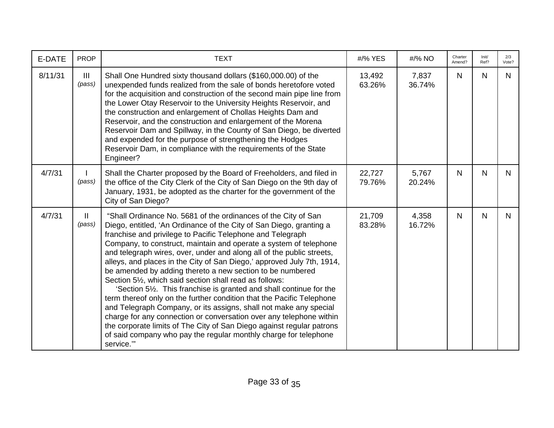| E-DATE  | <b>PROP</b>              | <b>TEXT</b>                                                                                                                                                                                                                                                                                                                                                                                                                                                                                                                                                                                                                                                                                                                                                                                                                                                                                                                                                                                                                                      | #/% YES          | #/% NO          | Charter<br>Amend? | Init/<br>Ref? | 2/3<br>Vote? |
|---------|--------------------------|--------------------------------------------------------------------------------------------------------------------------------------------------------------------------------------------------------------------------------------------------------------------------------------------------------------------------------------------------------------------------------------------------------------------------------------------------------------------------------------------------------------------------------------------------------------------------------------------------------------------------------------------------------------------------------------------------------------------------------------------------------------------------------------------------------------------------------------------------------------------------------------------------------------------------------------------------------------------------------------------------------------------------------------------------|------------------|-----------------|-------------------|---------------|--------------|
| 8/11/31 | $\mathbf{III}$<br>(pass) | Shall One Hundred sixty thousand dollars (\$160,000.00) of the<br>unexpended funds realized from the sale of bonds heretofore voted<br>for the acquisition and construction of the second main pipe line from<br>the Lower Otay Reservoir to the University Heights Reservoir, and<br>the construction and enlargement of Chollas Heights Dam and<br>Reservoir, and the construction and enlargement of the Morena<br>Reservoir Dam and Spillway, in the County of San Diego, be diverted<br>and expended for the purpose of strengthening the Hodges<br>Reservoir Dam, in compliance with the requirements of the State<br>Engineer?                                                                                                                                                                                                                                                                                                                                                                                                            | 13,492<br>63.26% | 7,837<br>36.74% | N                 | N             | N            |
| 4/7/31  | (pass)                   | Shall the Charter proposed by the Board of Freeholders, and filed in<br>the office of the City Clerk of the City of San Diego on the 9th day of<br>January, 1931, be adopted as the charter for the government of the<br>City of San Diego?                                                                                                                                                                                                                                                                                                                                                                                                                                                                                                                                                                                                                                                                                                                                                                                                      | 22,727<br>79.76% | 5,767<br>20.24% | N                 | $\mathsf{N}$  | N.           |
| 4/7/31  | Ш<br>(pass)              | "Shall Ordinance No. 5681 of the ordinances of the City of San<br>Diego, entitled, 'An Ordinance of the City of San Diego, granting a<br>franchise and privilege to Pacific Telephone and Telegraph<br>Company, to construct, maintain and operate a system of telephone<br>and telegraph wires, over, under and along all of the public streets,<br>alleys, and places in the City of San Diego,' approved July 7th, 1914,<br>be amended by adding thereto a new section to be numbered<br>Section 51/ <sub>2</sub> , which said section shall read as follows:<br>'Section 5 <sup>1</sup> / <sub>2</sub> . This franchise is granted and shall continue for the<br>term thereof only on the further condition that the Pacific Telephone<br>and Telegraph Company, or its assigns, shall not make any special<br>charge for any connection or conversation over any telephone within<br>the corporate limits of The City of San Diego against regular patrons<br>of said company who pay the regular monthly charge for telephone<br>service." | 21,709<br>83.28% | 4,358<br>16.72% | N                 | N             | N.           |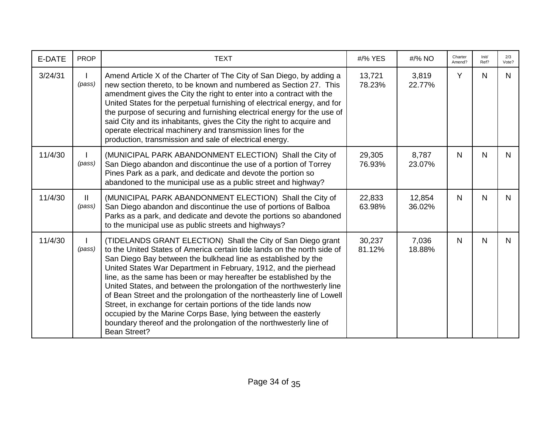| <b>E-DATE</b> | <b>PROP</b>  | <b>TEXT</b>                                                                                                                                                                                                                                                                                                                                                                                                                                                                                                                                                                                                                                                                                                                    | #/% YES          | #/% NO           | Charter<br>Amend? | Init/<br>Ref? | 2/3<br>Vote? |
|---------------|--------------|--------------------------------------------------------------------------------------------------------------------------------------------------------------------------------------------------------------------------------------------------------------------------------------------------------------------------------------------------------------------------------------------------------------------------------------------------------------------------------------------------------------------------------------------------------------------------------------------------------------------------------------------------------------------------------------------------------------------------------|------------------|------------------|-------------------|---------------|--------------|
| 3/24/31       | (pass)       | Amend Article X of the Charter of The City of San Diego, by adding a<br>new section thereto, to be known and numbered as Section 27. This<br>amendment gives the City the right to enter into a contract with the<br>United States for the perpetual furnishing of electrical energy, and for<br>the purpose of securing and furnishing electrical energy for the use of<br>said City and its inhabitants, gives the City the right to acquire and<br>operate electrical machinery and transmission lines for the<br>production, transmission and sale of electrical energy.                                                                                                                                                   | 13,721<br>78.23% | 3,819<br>22.77%  | Y                 | N             | N.           |
| 11/4/30       | (pass)       | (MUNICIPAL PARK ABANDONMENT ELECTION) Shall the City of<br>San Diego abandon and discontinue the use of a portion of Torrey<br>Pines Park as a park, and dedicate and devote the portion so<br>abandoned to the municipal use as a public street and highway?                                                                                                                                                                                                                                                                                                                                                                                                                                                                  | 29,305<br>76.93% | 8,787<br>23.07%  | N.                | N             | N.           |
| 11/4/30       | Ш.<br>(pass) | (MUNICIPAL PARK ABANDONMENT ELECTION) Shall the City of<br>San Diego abandon and discontinue the use of portions of Balboa<br>Parks as a park, and dedicate and devote the portions so abandoned<br>to the municipal use as public streets and highways?                                                                                                                                                                                                                                                                                                                                                                                                                                                                       | 22,833<br>63.98% | 12,854<br>36.02% | N.                | N             | N.           |
| 11/4/30       | (pass)       | (TIDELANDS GRANT ELECTION) Shall the City of San Diego grant<br>to the United States of America certain tide lands on the north side of<br>San Diego Bay between the bulkhead line as established by the<br>United States War Department in February, 1912, and the pierhead<br>line, as the same has been or may hereafter be established by the<br>United States, and between the prolongation of the northwesterly line<br>of Bean Street and the prolongation of the northeasterly line of Lowell<br>Street, in exchange for certain portions of the tide lands now<br>occupied by the Marine Corps Base, lying between the easterly<br>boundary thereof and the prolongation of the northwesterly line of<br>Bean Street? | 30,237<br>81.12% | 7,036<br>18.88%  | N.                | N             | N            |